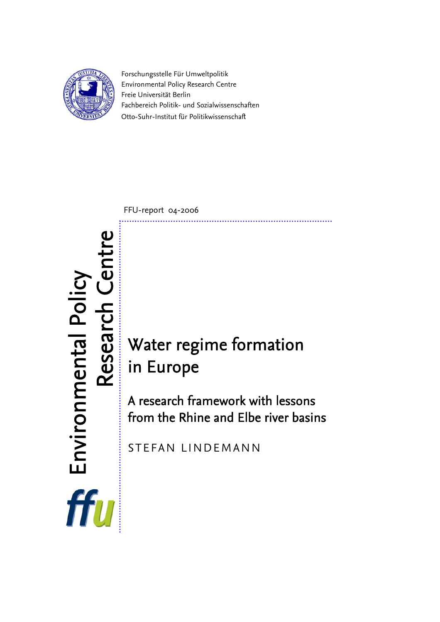

Forschungsstelle Für Umweltpolitik Environmental Policy Research Centre Freie Universität Berlin Fachbereich Politik- und Sozialwissenschaften Otto-Suhr-Institut für Politikwissenschaft

FFU-report 04-2006

# in Europe

A research framework with lessons from the Rhine and Elbe river basins

STEFAN LINDEMANN

**RESEARCE CENTRE CONTRETAINM CONTRETAINM CONTRETAINM CONTRETAINM CONTRETAINM LINDEMANN**  Environmental Policy ffu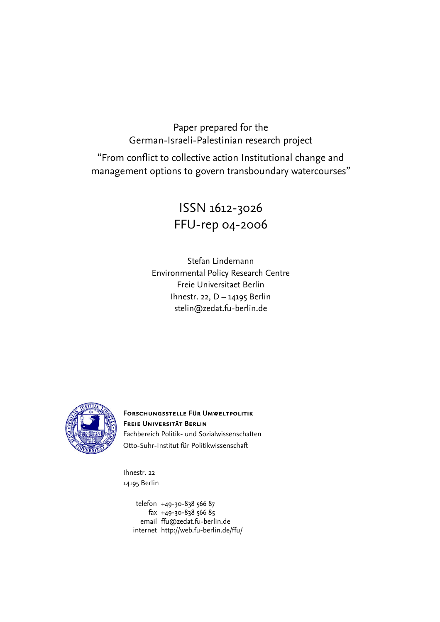# Paper prepared for the German-Israeli-Palestinian research project

"From conflict to collective action Institutional change and management options to govern transboundary watercourses"

# ISSN 1612-3026 FFU-rep 04-2006

Stefan Lindemann Environmental Policy Research Centre Freie Universitaet Berlin Ihnestr. 22, D – 14195 Berlin stelin@zedat.fu-berlin.de



**Forschungsstelle Für Umweltpolitik Freie Universität Berlin**  Fachbereich Politik- und Sozialwissenschaften Otto-Suhr-Institut für Politikwissenschaft

Ihnestr. 22 14195 Berlin

> telefon +49-30-838 566 87 fax +49-30-838 566 85 email [ffu@zedat.fu-berlin.de](mailto:ffu@zedat.fu-berlin.de)  internet http://web.fu-berlin.de/ffu/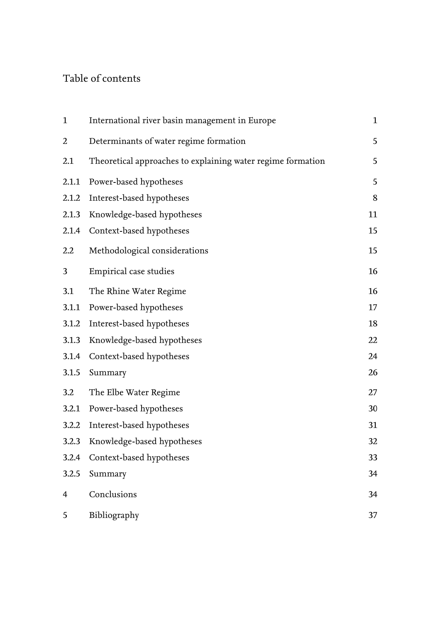# Table of contents

| $\mathbf{1}$   | International river basin management in Europe              | $\mathbf{1}$ |
|----------------|-------------------------------------------------------------|--------------|
| $\overline{2}$ | Determinants of water regime formation                      | 5            |
| 2.1            | Theoretical approaches to explaining water regime formation | 5            |
| 2.1.1          | Power-based hypotheses                                      | 5            |
| 2.1.2          | Interest-based hypotheses                                   | $8\,$        |
| 2.1.3          | Knowledge-based hypotheses                                  | 11           |
| 2.1.4          | Context-based hypotheses                                    | 15           |
| 2.2            | Methodological considerations                               | 15           |
| 3              | Empirical case studies                                      | 16           |
| 3.1            | The Rhine Water Regime                                      | 16           |
| 3.1.1          | Power-based hypotheses                                      | 17           |
| 3.1.2          | Interest-based hypotheses                                   | 18           |
| 3.1.3          | Knowledge-based hypotheses                                  | 22           |
| 3.1.4          | Context-based hypotheses                                    | 24           |
| 3.1.5          | Summary                                                     | 26           |
| 3.2            | The Elbe Water Regime                                       | 27           |
| 3.2.1          | Power-based hypotheses                                      | 30           |
| 3.2.2          | Interest-based hypotheses                                   | 31           |
| 3.2.3          | Knowledge-based hypotheses                                  | 32           |
| 3.2.4          | Context-based hypotheses                                    | 33           |
| 3.2.5          | Summary                                                     | 34           |
| 4              | Conclusions                                                 | 34           |
| 5              | Bibliography                                                | 37           |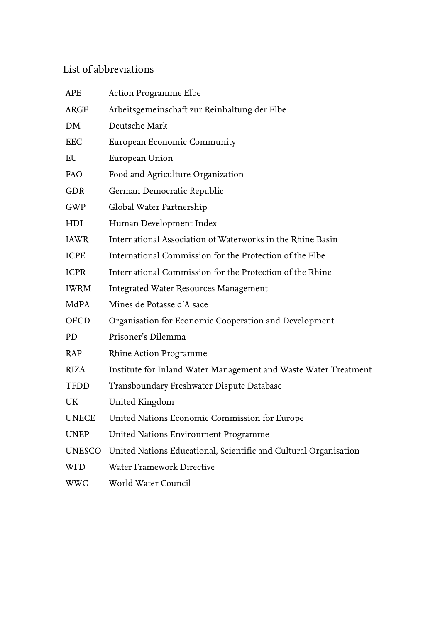# List of abbreviations

| APE          | Action Programme Elbe                                            |
|--------------|------------------------------------------------------------------|
| ARGE         | Arbeitsgemeinschaft zur Reinhaltung der Elbe                     |
| DM           | Deutsche Mark                                                    |
| EEC          | European Economic Community                                      |
| EU           | European Union                                                   |
| <b>FAO</b>   | Food and Agriculture Organization                                |
| <b>GDR</b>   | German Democratic Republic                                       |
| GWP          | Global Water Partnership                                         |
| HDI          | Human Development Index                                          |
| <b>IAWR</b>  | International Association of Waterworks in the Rhine Basin       |
| ICPE         | International Commission for the Protection of the Elbe          |
| <b>ICPR</b>  | International Commission for the Protection of the Rhine         |
| <b>IWRM</b>  | <b>Integrated Water Resources Management</b>                     |
| MdPA         | Mines de Potasse d'Alsace                                        |
| OECD         | Organisation for Economic Cooperation and Development            |
| PD           | Prisoner's Dilemma                                               |
| RAP          | Rhine Action Programme                                           |
| <b>RIZA</b>  | Institute for Inland Water Management and Waste Water Treatment  |
| <b>TFDD</b>  | Transboundary Freshwater Dispute Database                        |
| UK           | United Kingdom                                                   |
| <b>UNECE</b> | United Nations Economic Commission for Europe                    |
| <b>UNEP</b>  | United Nations Environment Programme                             |
| UNESCO       | United Nations Educational, Scientific and Cultural Organisation |
| WFD          | Water Framework Directive                                        |
| <b>WWC</b>   | World Water Council                                              |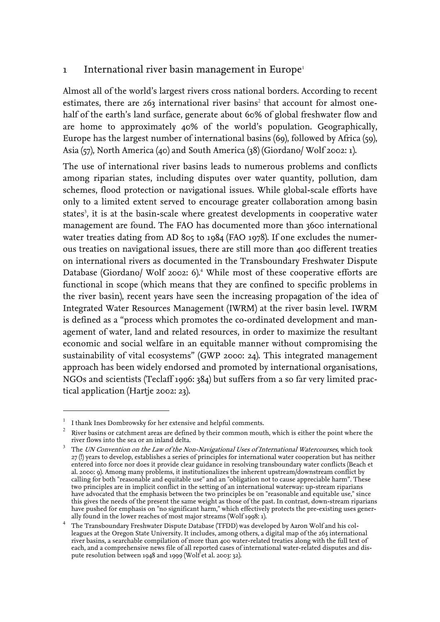## <span id="page-4-0"></span>[1](#page-4-1) International river basin management in Europe<sup>1</sup>

Almost all of the world's largest rivers cross national borders. According to recent estimates,there are  $263$  international river basins<sup>2</sup> that account for almost onehalf of the earth's land surface, generate about 60% of global freshwater flow and are home to approximately 40% of the world's population. Geographically, Europe has the largest number of international basins (69), followed by Africa (59), Asia (57), North America (40) and South America (38) (Giordano/ Wolf 2002: 1).

The use of international river basins leads to numerous problems and conflicts among riparian states, including disputes over water quantity, pollution, dam schemes, flood protection or navigational issues. While global-scale efforts have only to a limited extent served to encourage greater collaboration among basin states<sup>3</sup>[,](#page-4-3) it is at the basin-scale where greatest developments in cooperative water management are found. The FAO has documented more than 3600 international water treaties dating from AD 805 to 1984 (FAO 1978). If one excludes the numerous treaties on navigational issues, there are still more than 400 different treaties on international rivers as documented in the Transboundary Freshwater Dispute Database (Giordano/ Wolf 2002: 6).<sup>4</sup> While most of these cooperative efforts are functional in scope (which means that they are confined to specific problems in the river basin), recent years have seen the increasing propagation of the idea of Integrated Water Resources Management (IWRM) at the river basin level. IWRM is defined as a "process which promotes the co-ordinated development and management of water, land and related resources, in order to maximize the resultant economic and social welfare in an equitable manner without compromising the sustainability of vital ecosystems" (GWP 2000: 24). This integrated management approach has been widely endorsed and promoted by international organisations, NGOs and scientists (Teclaff 1996: 384) but suffers from a so far very limited practical application (Hartje 2002: 23).

 $\overline{a}$ 

<span id="page-4-1"></span> $^{\rm 1}$  I thank Ines Dombrowsky for her extensive and helpful comments.

<span id="page-4-2"></span> $2$  River basins or catchment areas are defined by their common mouth, which is either the point where the river flows into the sea or an inland delta.

<span id="page-4-3"></span> $3$  The UN Convention on the Law of the Non-Navigational Uses of International Watercourses, which took 27 (!) years to develop, establishes a series of principles for international water cooperation but has neither entered into force nor does it provide clear guidance in resolving transboundary water conflicts (Beach et al. 2000: 9). Among many problems, it institutionalizes the inherent upstream/downstream conflict by calling for both "reasonable and equitable use" and an "obligation not to cause appreciable harm". These two principles are in implicit conflict in the setting of an international waterway: up-stream riparians have advocated that the emphasis between the two principles be on "reasonable and equitable use," since this gives the needs of the present the same weight as those of the past. In contrast, down-stream riparians have pushed for emphasis on "no significant harm," which effectively protects the pre-existing uses generally found in the lower reaches of most major streams (Wolf 1998: 1).

<span id="page-4-4"></span><sup>4</sup> The Transboundary Freshwater Dispute Database (TFDD) was developed by Aaron Wolf and his colleagues at the Oregon State University. It includes, among others, a digital map of the 263 international river basins, a searchable compilation of more than 400 water-related treaties along with the full text of each, and a comprehensive news file of all reported cases of international water-related disputes and dispute resolution between 1948 and 1999 (Wolf et al. 2003: 32).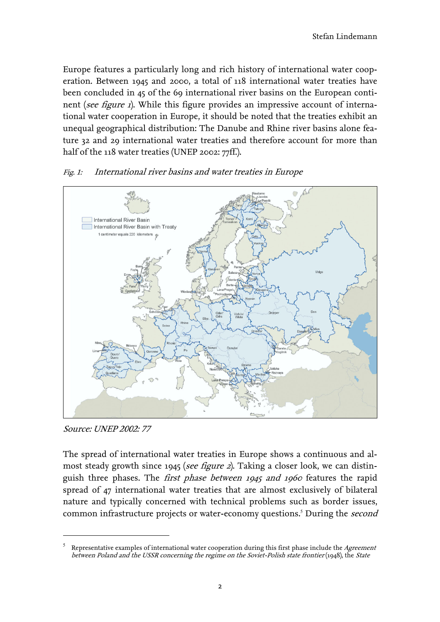<span id="page-5-0"></span>Europe features a particularly long and rich history of international water cooperation. Between 1945 and 2000, a total of 118 international water treaties have been concluded in 45 of the 69 international river basins on the European continent (see figure 1). While this figure provides an impressive account of international water cooperation in Europe, it should be noted that the treaties exhibit an unequal geographical distribution: The Danube and Rhine river basins alone feature 32 and 29 international water treaties and therefore account for more than half of the 118 water treaties (UNEP 2002: 77ff.).



#### Fig. 1: International river basins and water treaties in Europe

Source: UNEP 2002: 77

 $\overline{a}$ 

The spread of international water treaties in Europe shows a continuous and almost steady growth since 1945 (see figure 2). Taking a closer look, we can distinguish three phases. The *first phase between 1945 and 1960* features the rapid spread of 47 international water treaties that are almost exclusively of bilateral nature and typically concerned with technical problems such as border issues, commoninfrastructure projects or water-economy questions.<sup>5</sup> During the *second* 

<sup>5</sup> Representative examples of international water cooperation during this first phase include the Agreement between Poland and the USSR concerning the regime on the Soviet-Polish state frontier (1948), the State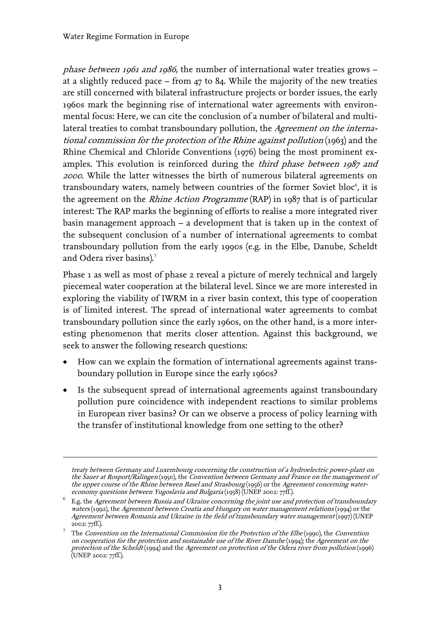<u>.</u>

phase between 1961 and 1986, the number of international water treaties grows – at a slightly reduced pace – from 47 to 84. While the majority of the new treaties are still concerned with bilateral infrastructure projects or border issues, the early 1960s mark the beginning rise of international water agreements with environmental focus: Here, we can cite the conclusion of a number of bilateral and multilateral treaties to combat transboundary pollution, the Agreement on the international commission for the protection of the Rhine against pollution (1963) and the Rhine Chemical and Chloride Conventions (1976) being the most prominent examples. This evolution is reinforced during the *third phase between 1987 and* <sup>2000</sup>. While the latter witnesses the birth of numerous bilateral agreements on transboundary waters[,](#page-6-0) namely between countries of the former Soviet bloc $\mathfrak{c}_2$ , it is the agreement on the *Rhine Action Programme* (RAP) in 1987 that is of particular interest: The RAP marks the beginning of efforts to realise a more integrated river basin management approach – a development that is taken up in the context of the subsequent conclusion of a number of international agreements to combat transboundary pollution from the early 1990s (e.g. in the Elbe, Danube, Scheldt and Odera river basins).<sup>[7](#page-6-1)</sup>

Phase 1 as well as most of phase 2 reveal a picture of merely technical and largely piecemeal water cooperation at the bilateral level. Since we are more interested in exploring the viability of IWRM in a river basin context, this type of cooperation is of limited interest. The spread of international water agreements to combat transboundary pollution since the early 1960s, on the other hand, is a more interesting phenomenon that merits closer attention. Against this background, we seek to answer the following research questions:

- How can we explain the formation of international agreements against transboundary pollution in Europe since the early 1960s?
- Is the subsequent spread of international agreements against transboundary pollution pure coincidence with independent reactions to similar problems in European river basins? Or can we observe a process of policy learning with the transfer of institutional knowledge from one setting to the other?

treaty between Germany and Luxembourg concerning the construction of a hydroelectric power-plant on the Sauer at Rosport/Ralingen (1950), the Convention between Germany and France on the management of the upper course of the Rhine between Basel and Strasbourg (1956) or the Agreement concerning watereconomy questions between Yugoslavia and Bulgaria (1958) (UNEP 2002: 77ff.).

<span id="page-6-0"></span> $^6$  E.g. the *Agreement between Russia and Ukraine concerning the joint use and protection of transboundary* waters (1992), the Agreement between Croatia and Hungary on water management relations (1994) or the Agreement between Romania and Ukraine in the field of transboundary water management (1997) (UNEP 2002: 77ff.).

<span id="page-6-1"></span><sup>&</sup>lt;sup>7</sup> The *Convention on the International Commission for the Protection of the Elbe* (1990), the *Convention* on cooperation for the protection and sustainable use of the River Danube (1994); the Agreement on the protection of the Scheldt (1994) and the Agreement on protection of the Odera river from pollution (1996) (UNEP 2002: 77ff.).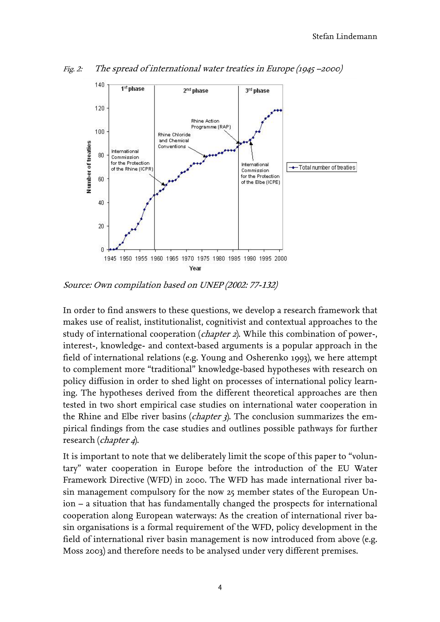

Fig. 2: The spread of international water treaties in Europe (1945 –2000)

Source: Own compilation based on UNEP (2002: 77-132)

In order to find answers to these questions, we develop a research framework that makes use of realist, institutionalist, cognitivist and contextual approaches to the study of international cooperation (*chapter 2*). While this combination of power-, interest-, knowledge- and context-based arguments is a popular approach in the field of international relations (e.g. Young and Osherenko 1993), we here attempt to complement more "traditional" knowledge-based hypotheses with research on policy diffusion in order to shed light on processes of international policy learning. The hypotheses derived from the different theoretical approaches are then tested in two short empirical case studies on international water cooperation in the Rhine and Elbe river basins (chapter 3). The conclusion summarizes the empirical findings from the case studies and outlines possible pathways for further research (*chapter 4*).

It is important to note that we deliberately limit the scope of this paper to "voluntary" water cooperation in Europe before the introduction of the EU Water Framework Directive (WFD) in 2000. The WFD has made international river basin management compulsory for the now 25 member states of the European Union – a situation that has fundamentally changed the prospects for international cooperation along European waterways: As the creation of international river basin organisations is a formal requirement of the WFD, policy development in the field of international river basin management is now introduced from above (e.g. Moss 2003) and therefore needs to be analysed under very different premises.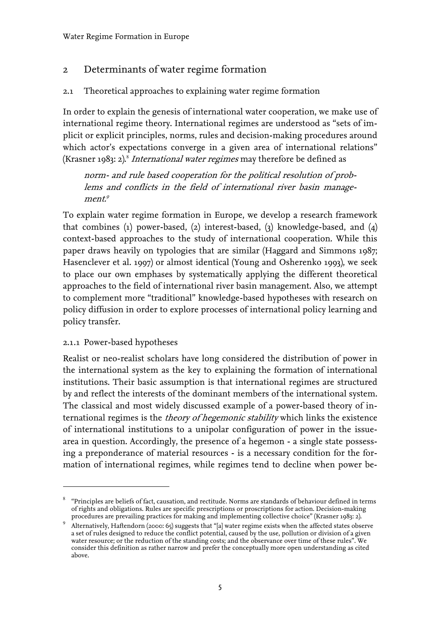## <span id="page-8-0"></span>2 Determinants of water regime formation

## <span id="page-8-1"></span>2.1 Theoretical approaches to explaining water regime formation

In order to explain the genesis of international water cooperation, we make use of international regime theory. International regimes are understood as "sets of implicit or explicit principles, norms, rules and decision-making procedures around which actor's expectations converge in a given area of international relations" (Krasner 19[8](#page-8-3)3: 2).<sup>8</sup> International water regimes may therefore be defined as

norm- and rule based cooperation for the political resolution of problems and conflicts in the field of international river basin manage- $ment<sup>9</sup>$  $ment<sup>9</sup>$  $ment<sup>9</sup>$ 

To explain water regime formation in Europe, we develop a research framework that combines (1) power-based, (2) interest-based, (3) knowledge-based, and (4) context-based approaches to the study of international cooperation. While this paper draws heavily on typologies that are similar (Haggard and Simmons 1987; Hasenclever et al. 1997) or almost identical (Young and Osherenko 1993), we seek to place our own emphases by systematically applying the different theoretical approaches to the field of international river basin management. Also, we attempt to complement more "traditional" knowledge-based hypotheses with research on policy diffusion in order to explore processes of international policy learning and policy transfer.

#### <span id="page-8-2"></span>2.1.1 Power-based hypotheses

 $\overline{a}$ 

Realist or neo-realist scholars have long considered the distribution of power in the international system as the key to explaining the formation of international institutions. Their basic assumption is that international regimes are structured by and reflect the interests of the dominant members of the international system. The classical and most widely discussed example of a power-based theory of international regimes is the *theory of hegemonic stability* which links the existence of international institutions to a unipolar configuration of power in the issuearea in question. Accordingly, the presence of a hegemon - a single state possessing a preponderance of material resources - is a necessary condition for the formation of international regimes, while regimes tend to decline when power be-

<span id="page-8-3"></span><sup>8</sup> "Principles are beliefs of fact, causation, and rectitude. Norms are standards of behaviour defined in terms of rights and obligations. Rules are specific prescriptions or proscriptions for action. Decision-making procedures are prevailing practices for making and implementing collective choice" (Krasner 1983: 2).

<span id="page-8-4"></span><sup>9</sup> Alternatively, Haftendorn (2000: 65) suggests that "[a] water regime exists when the affected states observe a set of rules designed to reduce the conflict potential, caused by the use, pollution or division of a given water resource; or the reduction of the standing costs; and the observance over time of these rules". We consider this definition as rather narrow and prefer the conceptually more open understanding as cited above.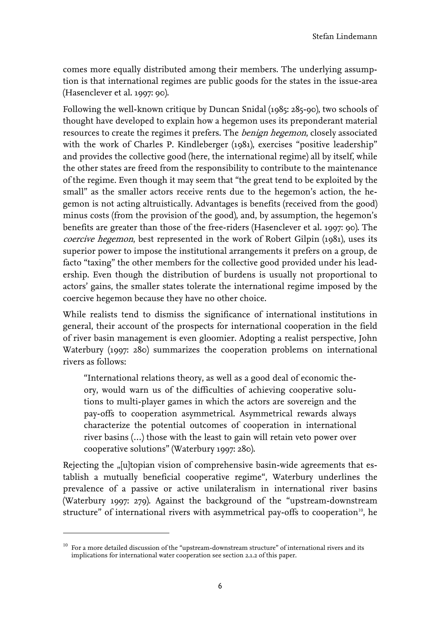comes more equally distributed among their members. The underlying assumption is that international regimes are public goods for the states in the issue-area (Hasenclever et al. 1997: 90).

Following the well-known critique by Duncan Snidal (1985: 285-90), two schools of thought have developed to explain how a hegemon uses its preponderant material resources to create the regimes it prefers. The *benign hegemon*, closely associated with the work of Charles P. Kindleberger (1981), exercises "positive leadership" and provides the collective good (here, the international regime) all by itself, while the other states are freed from the responsibility to contribute to the maintenance of the regime. Even though it may seem that "the great tend to be exploited by the small" as the smaller actors receive rents due to the hegemon's action, the hegemon is not acting altruistically. Advantages is benefits (received from the good) minus costs (from the provision of the good), and, by assumption, the hegemon's benefits are greater than those of the free-riders (Hasenclever et al. 1997: 90). The coercive hegemon, best represented in the work of Robert Gilpin (1981), uses its superior power to impose the institutional arrangements it prefers on a group, de facto "taxing" the other members for the collective good provided under his leadership. Even though the distribution of burdens is usually not proportional to actors' gains, the smaller states tolerate the international regime imposed by the coercive hegemon because they have no other choice.

While realists tend to dismiss the significance of international institutions in general, their account of the prospects for international cooperation in the field of river basin management is even gloomier. Adopting a realist perspective, John Waterbury (1997: 280) summarizes the cooperation problems on international rivers as follows:

"International relations theory, as well as a good deal of economic theory, would warn us of the difficulties of achieving cooperative solutions to multi-player games in which the actors are sovereign and the pay-offs to cooperation asymmetrical. Asymmetrical rewards always characterize the potential outcomes of cooperation in international river basins (…) those with the least to gain will retain veto power over cooperative solutions" (Waterbury 1997: 280).

Rejecting the "[u]topian vision of comprehensive basin-wide agreements that establish a mutually beneficial cooperative regime", Waterbury underlines the prevalence of a passive or active unilateralism in international river basins (Waterbury 1997: 279). Against the background of the "upstream-downstream structure" of international rivers with asymmetrical pay-offs to cooperation<sup>10</sup>[,](#page-9-0) he

 $\overline{a}$ 

<span id="page-9-0"></span> $^{\rm 10}\,$  For a more detailed discussion of the "upstream-downstream structure" of international rivers and its implications for international water cooperation see section 2.1.2 of this paper.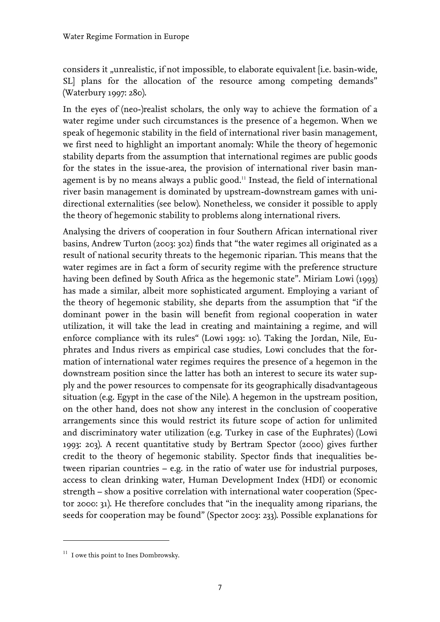considers it "unrealistic, if not impossible, to elaborate equivalent [i.e. basin-wide, SL] plans for the allocation of the resource among competing demands" (Waterbury 1997: 280).

In the eyes of (neo-)realist scholars, the only way to achieve the formation of a water regime under such circumstances is the presence of a hegemon. When we speak of hegemonic stability in the field of international river basin management, we first need to highlight an important anomaly: While the theory of hegemonic stability departs from the assumption that international regimes are public goods for the states in the issue-area, the provision of international river basin managementis by no means always a public good.<sup>11</sup> Instead, the field of international river basin management is dominated by upstream-downstream games with unidirectional externalities (see below). Nonetheless, we consider it possible to apply the theory of hegemonic stability to problems along international rivers.

Analysing the drivers of cooperation in four Southern African international river basins, Andrew Turton (2003: 302) finds that "the water regimes all originated as a result of national security threats to the hegemonic riparian. This means that the water regimes are in fact a form of security regime with the preference structure having been defined by South Africa as the hegemonic state". Miriam Lowi (1993) has made a similar, albeit more sophisticated argument. Employing a variant of the theory of hegemonic stability, she departs from the assumption that "if the dominant power in the basin will benefit from regional cooperation in water utilization, it will take the lead in creating and maintaining a regime, and will enforce compliance with its rules" (Lowi 1993: 10). Taking the Jordan, Nile, Euphrates and Indus rivers as empirical case studies, Lowi concludes that the formation of international water regimes requires the presence of a hegemon in the downstream position since the latter has both an interest to secure its water supply and the power resources to compensate for its geographically disadvantageous situation (e.g. Egypt in the case of the Nile). A hegemon in the upstream position, on the other hand, does not show any interest in the conclusion of cooperative arrangements since this would restrict its future scope of action for unlimited and discriminatory water utilization (e.g. Turkey in case of the Euphrates) (Lowi 1993: 203). A recent quantitative study by Bertram Spector (2000) gives further credit to the theory of hegemonic stability. Spector finds that inequalities between riparian countries – e.g. in the ratio of water use for industrial purposes, access to clean drinking water, Human Development Index (HDI) or economic strength – show a positive correlation with international water cooperation (Spector 2000: 31). He therefore concludes that "in the inequality among riparians, the seeds for cooperation may be found" (Spector 2003: 233). Possible explanations for

 $\overline{a}$ 

<span id="page-10-0"></span> $11$  I owe this point to Ines Dombrowsky.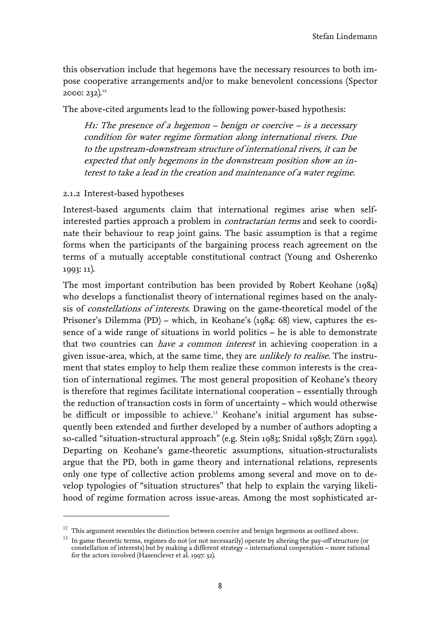this observation include that hegemons have the necessary resources to both impose cooperative arrangements and/or to make benevolent concessions (Spector 2000: 232)[.12](#page-11-1) 

The above-cited arguments lead to the following power-based hypothesis:

H1: The presence of a hegemon – benign or coercive – is a necessary condition for water regime formation along international rivers. Due to the upstream-downstream structure of international rivers, it can be expected that only hegemons in the downstream position show an interest to take a lead in the creation and maintenance of a water regime.

#### <span id="page-11-0"></span>2.1.2 Interest-based hypotheses

 $\overline{a}$ 

Interest-based arguments claim that international regimes arise when selfinterested parties approach a problem in *contractarian terms* and seek to coordinate their behaviour to reap joint gains. The basic assumption is that a regime forms when the participants of the bargaining process reach agreement on the terms of a mutually acceptable constitutional contract (Young and Osherenko 1993: 11).

The most important contribution has been provided by Robert Keohane (1984) who develops a functionalist theory of international regimes based on the analysis of *constellations of interests*. Drawing on the game-theoretical model of the Prisoner's Dilemma (PD) – which, in Keohane's (1984: 68) view, captures the essence of a wide range of situations in world politics – he is able to demonstrate that two countries can *have a common interest* in achieving cooperation in a given issue-area, which, at the same time, they are *unlikely to realise*. The instrument that states employ to help them realize these common interests is the creation of international regimes. The most general proposition of Keohane's theory is therefore that regimes facilitate international cooperation – essentially through the reduction of transaction costs in form of uncertainty – which would otherwise be difficult or impossible to achieve.13Keohane's initial argument has subsequently been extended and further developed by a number of authors adopting a so-called "situation-structural approach" (e.g. Stein 1983; Snidal 1985b; Zürn 1992). Departing on Keohane's game-theoretic assumptions, situation-structuralists argue that the PD, both in game theory and international relations, represents only one type of collective action problems among several and move on to develop typologies of "situation structures" that help to explain the varying likelihood of regime formation across issue-areas. Among the most sophisticated ar-

<span id="page-11-1"></span> $^{\rm 12}$  This argument resembles the distinction between coercive and benign hegemons as outlined above.

<span id="page-11-2"></span><sup>&</sup>lt;sup>13</sup> In game theoretic terms, regimes do not (or not necessarily) operate by altering the pay-off structure (or constellation of interests) but by making a different strategy – international cooperation – more rational for the actors involved (Hasenclever et al. 1997: 32).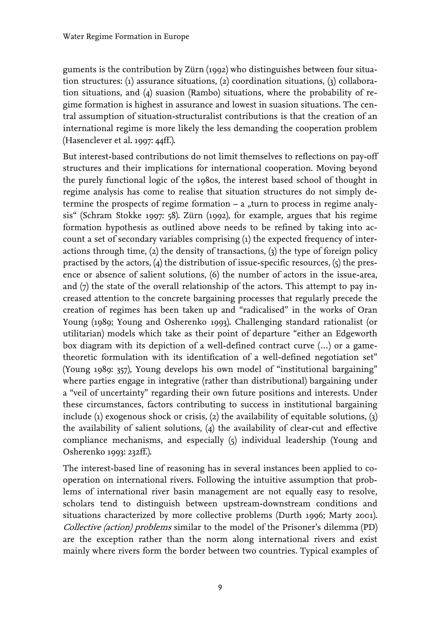guments is the contribution by Zürn (1992) who distinguishes between four situation structures: (1) assurance situations, (2) coordination situations, (3) collaboration situations, and (4) suasion (Rambo) situations, where the probability of regime formation is highest in assurance and lowest in suasion situations. The central assumption of situation-structuralist contributions is that the creation of an international regime is more likely the less demanding the cooperation problem (Hasenclever et al. 1997: 44ff.).

But interest-based contributions do not limit themselves to reflections on pay-off structures and their implications for international cooperation. Moving beyond the purely functional logic of the 1980s, the interest based school of thought in regime analysis has come to realise that situation structures do not simply determine the prospects of regime formation  $- a$  "turn to process in regime analysis" (Schram Stokke 1997: 58). Zürn (1992), for example, argues that his regime formation hypothesis as outlined above needs to be refined by taking into account a set of secondary variables comprising (1) the expected frequency of interactions through time,  $(2)$  the density of transactions,  $(3)$  the type of foreign policy practised by the actors,  $(4)$  the distribution of issue-specific resources,  $(5)$  the presence or absence of salient solutions, (6) the number of actors in the issue-area, and  $(7)$  the state of the overall relationship of the actors. This attempt to pay increased attention to the concrete bargaining processes that regularly precede the creation of regimes has been taken up and "radicalised" in the works of Oran Young (1989; Young and Osherenko 1993). Challenging standard rationalist (or utilitarian) models which take as their point of departure "either an Edgeworth box diagram with its depiction of a well-defined contract curve (…) or a gametheoretic formulation with its identification of a well-defined negotiation set" (Young 1989: 357), Young develops his own model of "institutional bargaining" where parties engage in integrative (rather than distributional) bargaining under a "veil of uncertainty" regarding their own future positions and interests. Under these circumstances, factors contributing to success in institutional bargaining include (1) exogenous shock or crisis, (2) the availability of equitable solutions, (3) the availability of salient solutions, (4) the availability of clear-cut and effective compliance mechanisms, and especially (5) individual leadership (Young and Osherenko 1993: 232ff.).

The interest-based line of reasoning has in several instances been applied to cooperation on international rivers. Following the intuitive assumption that problems of international river basin management are not equally easy to resolve, scholars tend to distinguish between upstream-downstream conditions and situations characterized by more collective problems (Durth 1996; Marty 2001). Collective (action) problems similar to the model of the Prisoner's dilemma (PD) are the exception rather than the norm along international rivers and exist mainly where rivers form the border between two countries. Typical examples of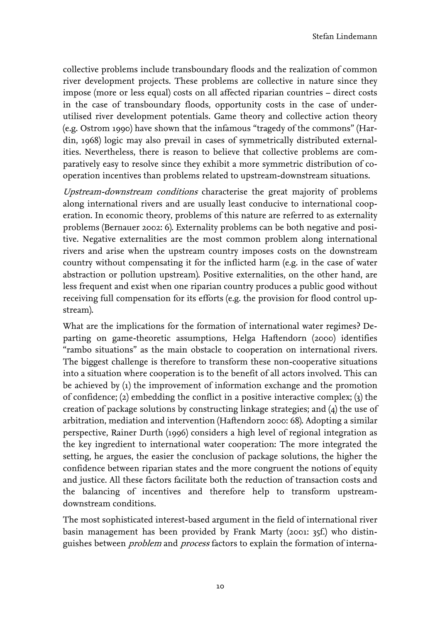collective problems include transboundary floods and the realization of common river development projects. These problems are collective in nature since they impose (more or less equal) costs on all affected riparian countries – direct costs in the case of transboundary floods, opportunity costs in the case of underutilised river development potentials. Game theory and collective action theory (e.g. Ostrom 1990) have shown that the infamous "tragedy of the commons" (Hardin, 1968) logic may also prevail in cases of symmetrically distributed externalities. Nevertheless, there is reason to believe that collective problems are comparatively easy to resolve since they exhibit a more symmetric distribution of cooperation incentives than problems related to upstream-downstream situations.

Upstream-downstream conditions characterise the great majority of problems along international rivers and are usually least conducive to international cooperation. In economic theory, problems of this nature are referred to as externality problems (Bernauer 2002: 6). Externality problems can be both negative and positive. Negative externalities are the most common problem along international rivers and arise when the upstream country imposes costs on the downstream country without compensating it for the inflicted harm (e.g. in the case of water abstraction or pollution upstream). Positive externalities, on the other hand, are less frequent and exist when one riparian country produces a public good without receiving full compensation for its efforts (e.g. the provision for flood control upstream).

What are the implications for the formation of international water regimes? Departing on game-theoretic assumptions, Helga Haftendorn (2000) identifies "rambo situations" as the main obstacle to cooperation on international rivers. The biggest challenge is therefore to transform these non-cooperative situations into a situation where cooperation is to the benefit of all actors involved. This can be achieved by (1) the improvement of information exchange and the promotion of confidence; (2) embedding the conflict in a positive interactive complex; (3) the creation of package solutions by constructing linkage strategies; and (4) the use of arbitration, mediation and intervention (Haftendorn 2000: 68). Adopting a similar perspective, Rainer Durth (1996) considers a high level of regional integration as the key ingredient to international water cooperation: The more integrated the setting, he argues, the easier the conclusion of package solutions, the higher the confidence between riparian states and the more congruent the notions of equity and justice. All these factors facilitate both the reduction of transaction costs and the balancing of incentives and therefore help to transform upstreamdownstream conditions.

The most sophisticated interest-based argument in the field of international river basin management has been provided by Frank Marty (2001: 35f.) who distinguishes between *problem* and *process* factors to explain the formation of interna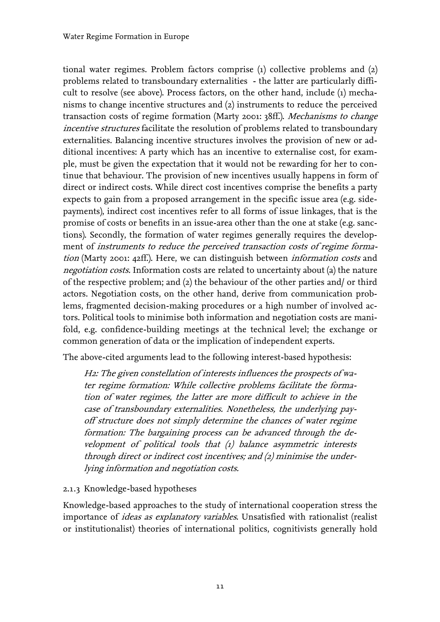tional water regimes. Problem factors comprise (1) collective problems and (2) problems related to transboundary externalities - the latter are particularly difficult to resolve (see above). Process factors, on the other hand, include (1) mechanisms to change incentive structures and (2) instruments to reduce the perceived transaction costs of regime formation (Marty 2001: 38ff.). Mechanisms to change incentive structures facilitate the resolution of problems related to transboundary externalities. Balancing incentive structures involves the provision of new or additional incentives: A party which has an incentive to externalise cost, for example, must be given the expectation that it would not be rewarding for her to continue that behaviour. The provision of new incentives usually happens in form of direct or indirect costs. While direct cost incentives comprise the benefits a party expects to gain from a proposed arrangement in the specific issue area (e.g. sidepayments), indirect cost incentives refer to all forms of issue linkages, that is the promise of costs or benefits in an issue-area other than the one at stake (e.g. sanctions). Secondly, the formation of water regimes generally requires the development of instruments to reduce the perceived transaction costs of regime formation (Marty 2001: 42ff.). Here, we can distinguish between *information costs* and negotiation costs. Information costs are related to uncertainty about (a) the nature of the respective problem; and (2) the behaviour of the other parties and/ or third actors. Negotiation costs, on the other hand, derive from communication problems, fragmented decision-making procedures or a high number of involved actors. Political tools to minimise both information and negotiation costs are manifold, e.g. confidence-building meetings at the technical level; the exchange or common generation of data or the implication of independent experts.

The above-cited arguments lead to the following interest-based hypothesis:

H2: The given constellation of interests influences the prospects of water regime formation: While collective problems facilitate the formation of water regimes, the latter are more difficult to achieve in the case of transboundary externalities. Nonetheless, the underlying payoff structure does not simply determine the chances of water regime formation: The bargaining process can be advanced through the development of political tools that (1) balance asymmetric interests through direct or indirect cost incentives; and  $(z)$  minimise the underlying information and negotiation costs.

#### <span id="page-14-0"></span>2.1.3 Knowledge-based hypotheses

Knowledge-based approaches to the study of international cooperation stress the importance of *ideas as explanatory variables*. Unsatisfied with rationalist (realist or institutionalist) theories of international politics, cognitivists generally hold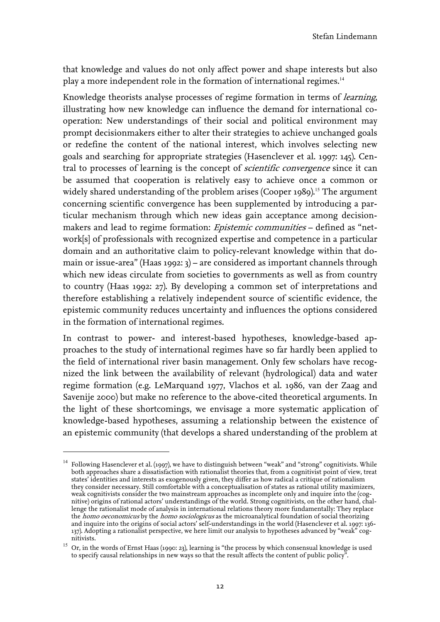that knowledge and values do not only affect power and shape interests but also play a more independent role in the formation of international regimes.<sup>[14](#page-15-0)</sup>

Knowledge theorists analyse processes of regime formation in terms of *learning*, illustrating how new knowledge can influence the demand for international cooperation: New understandings of their social and political environment may prompt decisionmakers either to alter their strategies to achieve unchanged goals or redefine the content of the national interest, which involves selecting new goals and searching for appropriate strategies (Hasenclever et al. 1997: 145). Central to processes of learning is the concept of *scientific convergence* since it can be assumed that cooperation is relatively easy to achieve once a common or widely shared understanding of the problem arises (Cooper 1989).<sup>15</sup> [T](#page-15-1)he argument concerning scientific convergence has been supplemented by introducing a particular mechanism through which new ideas gain acceptance among decisionmakers and lead to regime formation: *Epistemic communities* - defined as "network[s] of professionals with recognized expertise and competence in a particular domain and an authoritative claim to policy-relevant knowledge within that domain or issue-area" (Haas 1992: 3) – are considered as important channels through which new ideas circulate from societies to governments as well as from country to country (Haas 1992: 27). By developing a common set of interpretations and therefore establishing a relatively independent source of scientific evidence, the epistemic community reduces uncertainty and influences the options considered in the formation of international regimes.

In contrast to power- and interest-based hypotheses, knowledge-based approaches to the study of international regimes have so far hardly been applied to the field of international river basin management. Only few scholars have recognized the link between the availability of relevant (hydrological) data and water regime formation (e.g. LeMarquand 1977, Vlachos et al. 1986, van der Zaag and Savenije 2000) but make no reference to the above-cited theoretical arguments. In the light of these shortcomings, we envisage a more systematic application of knowledge-based hypotheses, assuming a relationship between the existence of an epistemic community (that develops a shared understanding of the problem at

 $\overline{a}$ 

<span id="page-15-0"></span> $14$  Following Hasenclever et al. (1997), we have to distinguish between "weak" and "strong" cognitivists. While both approaches share a dissatisfaction with rationalist theories that, from a cognitivist point of view, treat states' identities and interests as exogenously given, they differ as how radical a critique of rationalism they consider necessary. Still comfortable with a conceptualisation of states as rational utility maximizers, weak cognitivists consider the two mainstream approaches as incomplete only and inquire into the (cognitive) origins of rational actors' understandings of the world. Strong cognitivists, on the other hand, challenge the rationalist mode of analysis in international relations theory more fundamentally: They replace the *homo oeconomicus* by the *homo sociologicus* as the microanalytical foundation of social theorizing and inquire into the origins of social actors' self-understandings in the world (Hasenclever et al. 1997: 136- 137). Adopting a rationalist perspective, we here limit our analysis to hypotheses advanced by "weak" cognitivists.

<span id="page-15-1"></span> $^{15}\,$  Or, in the words of Ernst Haas (1990: 23), learning is "the process by which consensual knowledge is used to specify causal relationships in new ways so that the result affects the content of public policy".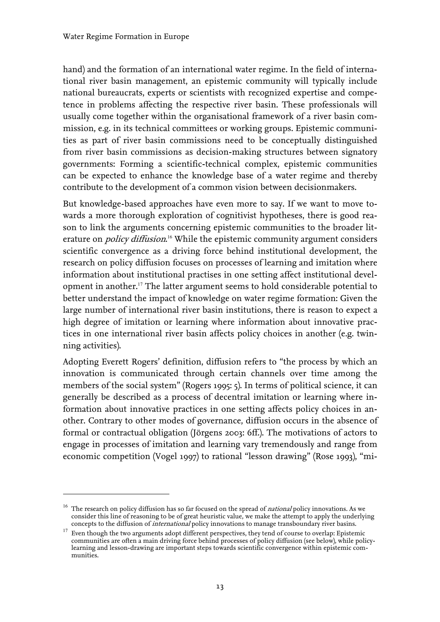$\overline{a}$ 

hand) and the formation of an international water regime. In the field of international river basin management, an epistemic community will typically include national bureaucrats, experts or scientists with recognized expertise and competence in problems affecting the respective river basin. These professionals will usually come together within the organisational framework of a river basin commission, e.g. in its technical committees or working groups. Epistemic communities as part of river basin commissions need to be conceptually distinguished from river basin commissions as decision-making structures between signatory governments: Forming a scientific-technical complex, epistemic communities can be expected to enhance the knowledge base of a water regime and thereby contribute to the development of a common vision between decisionmakers.

But knowledge-based approaches have even more to say. If we want to move towards a more thorough exploration of cognitivist hypotheses, there is good reason to link the arguments concerning epistemic communities to the broader literature on *policy diffusion*.<sup>16</sup> [W](#page-16-0)hile the epistemic community argument considers scientific convergence as a driving force behind institutional development, the research on policy diffusion focuses on processes of learning and imitation where information about institutional practises in one setting affect institutional development in another.<sup>17</sup>The latter argument seems to hold considerable potential to better understand the impact of knowledge on water regime formation: Given the large number of international river basin institutions, there is reason to expect a high degree of imitation or learning where information about innovative practices in one international river basin affects policy choices in another (e.g. twinning activities).

Adopting Everett Rogers' definition, diffusion refers to "the process by which an innovation is communicated through certain channels over time among the members of the social system" (Rogers 1995: 5). In terms of political science, it can generally be described as a process of decentral imitation or learning where information about innovative practices in one setting affects policy choices in another. Contrary to other modes of governance, diffusion occurs in the absence of formal or contractual obligation (Jörgens 2003: 6ff.). The motivations of actors to engage in processes of imitation and learning vary tremendously and range from economic competition (Vogel 1997) to rational "lesson drawing" (Rose 1993), "mi-

<span id="page-16-0"></span><sup>&</sup>lt;sup>16</sup> The research on policy diffusion has so far focused on the spread of *national* policy innovations. As we consider this line of reasoning to be of great heuristic value, we make the attempt to apply the underlying concepts to the diffusion of *international* policy innovations to manage transboundary river basins.

<span id="page-16-1"></span><sup>&</sup>lt;sup>17</sup> Even though the two arguments adopt different perspectives, they tend of course to overlap: Epistemic communities are often a main driving force behind processes of policy diffusion (see below), while policylearning and lesson-drawing are important steps towards scientific convergence within epistemic communities.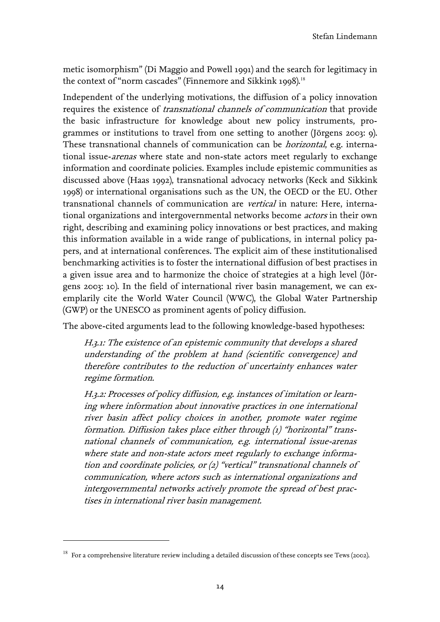Stefan Lindemann

metic isomorphism" (Di Maggio and Powell 1991) and the search for legitimacy in thecontext of "norm cascades" (Finnemore and Sikkink 1998).<sup>18</sup>

Independent of the underlying motivations, the diffusion of a policy innovation requires the existence of *transnational channels of communication* that provide the basic infrastructure for knowledge about new policy instruments, programmes or institutions to travel from one setting to another (Jörgens 2003: 9). These transnational channels of communication can be horizontal, e.g. international issue-*arenas* where state and non-state actors meet regularly to exchange information and coordinate policies. Examples include epistemic communities as discussed above (Haas 1992), transnational advocacy networks (Keck and Sikkink 1998) or international organisations such as the UN, the OECD or the EU. Other transnational channels of communication are vertical in nature: Here, international organizations and intergovernmental networks become actors in their own right, describing and examining policy innovations or best practices, and making this information available in a wide range of publications, in internal policy papers, and at international conferences. The explicit aim of these institutionalised benchmarking activities is to foster the international diffusion of best practises in a given issue area and to harmonize the choice of strategies at a high level (Jörgens 2003: 10). In the field of international river basin management, we can exemplarily cite the World Water Council (WWC), the Global Water Partnership (GWP) or the UNESCO as prominent agents of policy diffusion.

The above-cited arguments lead to the following knowledge-based hypotheses:

H.3.1: The existence of an epistemic community that develops a shared understanding of the problem at hand (scientific convergence) and therefore contributes to the reduction of uncertainty enhances water regime formation.

H.3.2: Processes of policy diffusion, e.g. instances of imitation or learning where information about innovative practices in one international river basin affect policy choices in another, promote water regime formation. Diffusion takes place either through (1) "horizontal" transnational channels of communication, e.g. international issue-arenas where state and non-state actors meet regularly to exchange information and coordinate policies, or (2) "vertical" transnational channels of communication, where actors such as international organizations and intergovernmental networks actively promote the spread of best practises in international river basin management.

 $\overline{a}$ 

<span id="page-17-0"></span> $18$  For a comprehensive literature review including a detailed discussion of these concepts see Tews (2002).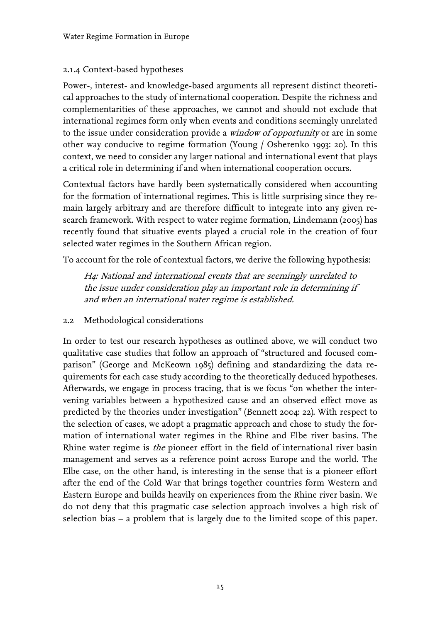#### <span id="page-18-0"></span>2.1.4 Context-based hypotheses

Power-, interest- and knowledge-based arguments all represent distinct theoretical approaches to the study of international cooperation. Despite the richness and complementarities of these approaches, we cannot and should not exclude that international regimes form only when events and conditions seemingly unrelated to the issue under consideration provide a *window of opportunity* or are in some other way conducive to regime formation (Young / Osherenko 1993: 20). In this context, we need to consider any larger national and international event that plays a critical role in determining if and when international cooperation occurs.

Contextual factors have hardly been systematically considered when accounting for the formation of international regimes. This is little surprising since they remain largely arbitrary and are therefore difficult to integrate into any given research framework. With respect to water regime formation, Lindemann (2005) has recently found that situative events played a crucial role in the creation of four selected water regimes in the Southern African region.

To account for the role of contextual factors, we derive the following hypothesis:

H4: National and international events that are seemingly unrelated to the issue under consideration play an important role in determining if and when an international water regime is established.

<span id="page-18-1"></span>2.2 Methodological considerations

In order to test our research hypotheses as outlined above, we will conduct two qualitative case studies that follow an approach of "structured and focused comparison" (George and McKeown 1985) defining and standardizing the data requirements for each case study according to the theoretically deduced hypotheses. Afterwards, we engage in process tracing, that is we focus "on whether the intervening variables between a hypothesized cause and an observed effect move as predicted by the theories under investigation" (Bennett 2004: 22). With respect to the selection of cases, we adopt a pragmatic approach and chose to study the formation of international water regimes in the Rhine and Elbe river basins. The Rhine water regime is *the* pioneer effort in the field of international river basin management and serves as a reference point across Europe and the world. The Elbe case, on the other hand, is interesting in the sense that is a pioneer effort after the end of the Cold War that brings together countries form Western and Eastern Europe and builds heavily on experiences from the Rhine river basin. We do not deny that this pragmatic case selection approach involves a high risk of selection bias – a problem that is largely due to the limited scope of this paper.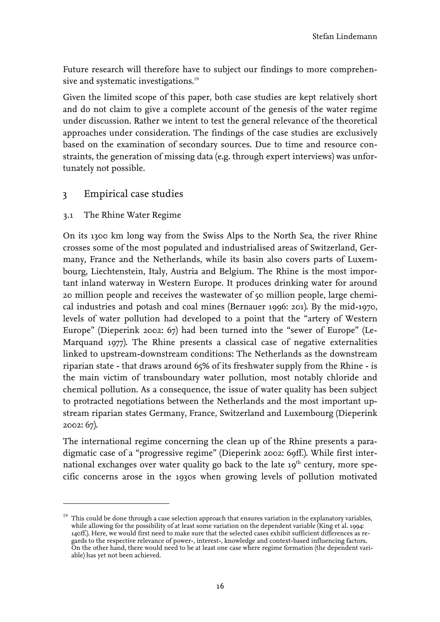Future research will therefore have to subject our findings to more comprehen-sive and systematic investigations.<sup>[19](#page-19-2)</sup>

Given the limited scope of this paper, both case studies are kept relatively short and do not claim to give a complete account of the genesis of the water regime under discussion. Rather we intent to test the general relevance of the theoretical approaches under consideration. The findings of the case studies are exclusively based on the examination of secondary sources. Due to time and resource constraints, the generation of missing data (e.g. through expert interviews) was unfortunately not possible.

## <span id="page-19-0"></span>3 Empirical case studies

#### <span id="page-19-1"></span>3.1 The Rhine Water Regime

 $\overline{a}$ 

On its 1300 km long way from the Swiss Alps to the North Sea, the river Rhine crosses some of the most populated and industrialised areas of Switzerland, Germany, France and the Netherlands, while its basin also covers parts of Luxembourg, Liechtenstein, Italy, Austria and Belgium. The Rhine is the most important inland waterway in Western Europe. It produces drinking water for around 20 million people and receives the wastewater of 50 million people, large chemical industries and potash and coal mines (Bernauer 1996: 201). By the mid-1970, levels of water pollution had developed to a point that the "artery of Western Europe" (Dieperink 2002: 67) had been turned into the "sewer of Europe" (Le-Marquand 1977). The Rhine presents a classical case of negative externalities linked to upstream-downstream conditions: The Netherlands as the downstream riparian state - that draws around 65% of its freshwater supply from the Rhine - is the main victim of transboundary water pollution, most notably chloride and chemical pollution. As a consequence, the issue of water quality has been subject to protracted negotiations between the Netherlands and the most important upstream riparian states Germany, France, Switzerland and Luxembourg (Dieperink 2002: 67).

The international regime concerning the clean up of the Rhine presents a paradigmatic case of a "progressive regime" (Dieperink 2002: 69ff.). While first international exchanges over water quality go back to the late  $10<sup>th</sup>$  century, more specific concerns arose in the 1930s when growing levels of pollution motivated

<span id="page-19-2"></span> $19$  This could be done through a case selection approach that ensures variation in the explanatory variables, while allowing for the possibility of at least some variation on the dependent variable (King et al. 1994: 140ff.). Here, we would first need to make sure that the selected cases exhibit sufficient differences as regards to the respective relevance of power-, interest-, knowledge and context-based influencing factors. On the other hand, there would need to be at least one case where regime formation (the dependent variable) has yet not been achieved.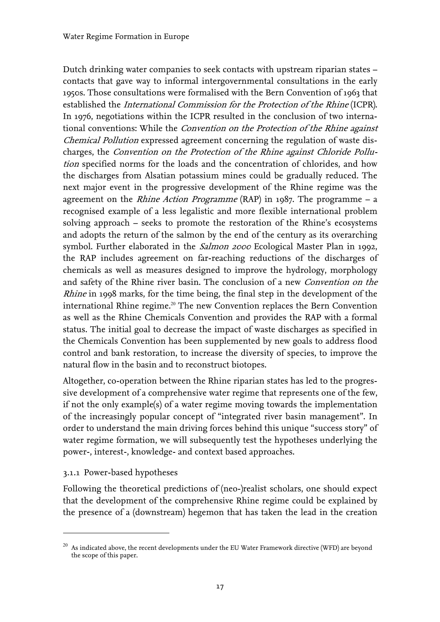Dutch drinking water companies to seek contacts with upstream riparian states – contacts that gave way to informal intergovernmental consultations in the early 1950s. Those consultations were formalised with the Bern Convention of 1963 that established the International Commission for the Protection of the Rhine (ICPR). In 1976, negotiations within the ICPR resulted in the conclusion of two international conventions: While the *Convention on the Protection of the Rhine against* Chemical Pollution expressed agreement concerning the regulation of waste discharges, the Convention on the Protection of the Rhine against Chloride Pollution specified norms for the loads and the concentration of chlorides, and how the discharges from Alsatian potassium mines could be gradually reduced. The next major event in the progressive development of the Rhine regime was the agreement on the *Rhine Action Programme* (RAP) in 1987. The programme  $- a$ recognised example of a less legalistic and more flexible international problem solving approach – seeks to promote the restoration of the Rhine's ecosystems and adopts the return of the salmon by the end of the century as its overarching symbol. Further elaborated in the *Salmon 2000* Ecological Master Plan in 1992, the RAP includes agreement on far-reaching reductions of the discharges of chemicals as well as measures designed to improve the hydrology, morphology and safety of the Rhine river basin. The conclusion of a new Convention on the *Rhine* in 1998 marks, for the time being, the final step in the development of the internationalRhine regime.<sup>20</sup> The new Convention replaces the Bern Convention as well as the Rhine Chemicals Convention and provides the RAP with a formal status. The initial goal to decrease the impact of waste discharges as specified in the Chemicals Convention has been supplemented by new goals to address flood control and bank restoration, to increase the diversity of species, to improve the natural flow in the basin and to reconstruct biotopes.

Altogether, co-operation between the Rhine riparian states has led to the progressive development of a comprehensive water regime that represents one of the few, if not the only example(s) of a water regime moving towards the implementation of the increasingly popular concept of "integrated river basin management". In order to understand the main driving forces behind this unique "success story" of water regime formation, we will subsequently test the hypotheses underlying the power-, interest-, knowledge- and context based approaches.

#### <span id="page-20-0"></span>3.1.1 Power-based hypotheses

 $\overline{a}$ 

Following the theoretical predictions of (neo-)realist scholars, one should expect that the development of the comprehensive Rhine regime could be explained by the presence of a (downstream) hegemon that has taken the lead in the creation

<span id="page-20-1"></span> $^{20}$  As indicated above, the recent developments under the EU Water Framework directive (WFD) are beyond the scope of this paper.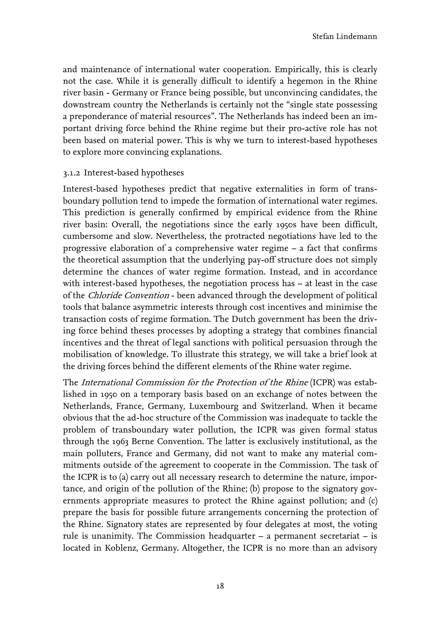and maintenance of international water cooperation. Empirically, this is clearly not the case. While it is generally difficult to identify a hegemon in the Rhine river basin - Germany or France being possible, but unconvincing candidates, the downstream country the Netherlands is certainly not the "single state possessing a preponderance of material resources". The Netherlands has indeed been an important driving force behind the Rhine regime but their pro-active role has not been based on material power. This is why we turn to interest-based hypotheses to explore more convincing explanations.

#### <span id="page-21-0"></span>3.1.2 Interest-based hypotheses

Interest-based hypotheses predict that negative externalities in form of transboundary pollution tend to impede the formation of international water regimes. This prediction is generally confirmed by empirical evidence from the Rhine river basin: Overall, the negotiations since the early 1950s have been difficult, cumbersome and slow. Nevertheless, the protracted negotiations have led to the progressive elaboration of a comprehensive water regime – a fact that confirms the theoretical assumption that the underlying pay-off structure does not simply determine the chances of water regime formation. Instead, and in accordance with interest-based hypotheses, the negotiation process has – at least in the case of the Chloride Convention - been advanced through the development of political tools that balance asymmetric interests through cost incentives and minimise the transaction costs of regime formation. The Dutch government has been the driving force behind theses processes by adopting a strategy that combines financial incentives and the threat of legal sanctions with political persuasion through the mobilisation of knowledge. To illustrate this strategy, we will take a brief look at the driving forces behind the different elements of the Rhine water regime.

The International Commission for the Protection of the Rhine (ICPR) was established in 1950 on a temporary basis based on an exchange of notes between the Netherlands, France, Germany, Luxembourg and Switzerland. When it became obvious that the ad-hoc structure of the Commission was inadequate to tackle the problem of transboundary water pollution, the ICPR was given formal status through the 1963 Berne Convention. The latter is exclusively institutional, as the main polluters, France and Germany, did not want to make any material commitments outside of the agreement to cooperate in the Commission. The task of the ICPR is to (a) carry out all necessary research to determine the nature, importance, and origin of the pollution of the Rhine; (b) propose to the signatory governments appropriate measures to protect the Rhine against pollution; and (c) prepare the basis for possible future arrangements concerning the protection of the Rhine. Signatory states are represented by four delegates at most, the voting rule is unanimity. The Commission headquarter – a permanent secretariat – is located in Koblenz, Germany. Altogether, the ICPR is no more than an advisory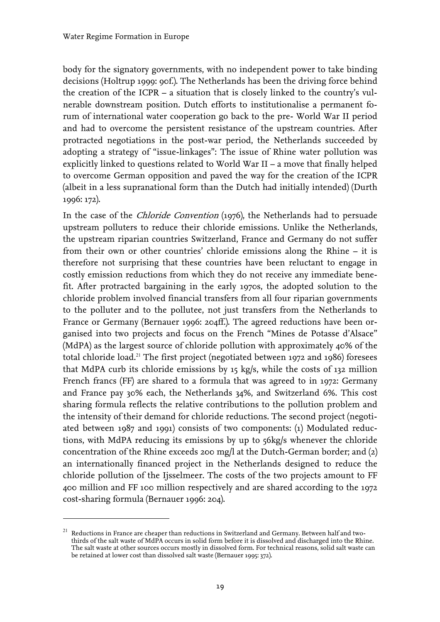$\overline{a}$ 

body for the signatory governments, with no independent power to take binding decisions (Holtrup 1999: 90f.). The Netherlands has been the driving force behind the creation of the ICPR – a situation that is closely linked to the country's vulnerable downstream position. Dutch efforts to institutionalise a permanent forum of international water cooperation go back to the pre- World War II period and had to overcome the persistent resistance of the upstream countries. After protracted negotiations in the post-war period, the Netherlands succeeded by adopting a strategy of "issue-linkages": The issue of Rhine water pollution was explicitly linked to questions related to World War II – a move that finally helped to overcome German opposition and paved the way for the creation of the ICPR (albeit in a less supranational form than the Dutch had initially intended) (Durth 1996: 172).

In the case of the Chloride Convention (1976), the Netherlands had to persuade upstream polluters to reduce their chloride emissions. Unlike the Netherlands, the upstream riparian countries Switzerland, France and Germany do not suffer from their own or other countries' chloride emissions along the Rhine – it is therefore not surprising that these countries have been reluctant to engage in costly emission reductions from which they do not receive any immediate benefit. After protracted bargaining in the early 1970s, the adopted solution to the chloride problem involved financial transfers from all four riparian governments to the polluter and to the pollutee, not just transfers from the Netherlands to France or Germany (Bernauer 1996: 204ff.). The agreed reductions have been organised into two projects and focus on the French "Mines de Potasse d'Alsace" (MdPA) as the largest source of chloride pollution with approximately 40% of the totalchloride load.<sup>21</sup> The first project (negotiated between 1972 and 1986) foresees that MdPA curb its chloride emissions by 15 kg/s, while the costs of 132 million French francs (FF) are shared to a formula that was agreed to in 1972: Germany and France pay 30% each, the Netherlands 34%, and Switzerland 6%. This cost sharing formula reflects the relative contributions to the pollution problem and the intensity of their demand for chloride reductions. The second project (negotiated between 1987 and 1991) consists of two components: (1) Modulated reductions, with MdPA reducing its emissions by up to 56kg/s whenever the chloride concentration of the Rhine exceeds 200 mg/l at the Dutch-German border; and (2) an internationally financed project in the Netherlands designed to reduce the chloride pollution of the Ijsselmeer. The costs of the two projects amount to FF 400 million and FF 100 million respectively and are shared according to the 1972 cost-sharing formula (Bernauer 1996: 204).

<span id="page-22-0"></span><sup>21</sup> Reductions in France are cheaper than reductions in Switzerland and Germany. Between half and twothirds of the salt waste of MdPA occurs in solid form before it is dissolved and discharged into the Rhine. The salt waste at other sources occurs mostly in dissolved form. For technical reasons, solid salt waste can be retained at lower cost than dissolved salt waste (Bernauer 1995: 372).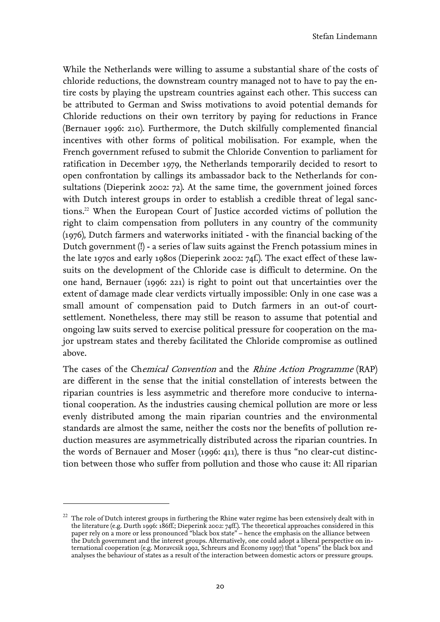While the Netherlands were willing to assume a substantial share of the costs of chloride reductions, the downstream country managed not to have to pay the entire costs by playing the upstream countries against each other. This success can be attributed to German and Swiss motivations to avoid potential demands for Chloride reductions on their own territory by paying for reductions in France (Bernauer 1996: 210). Furthermore, the Dutch skilfully complemented financial incentives with other forms of political mobilisation. For example, when the French government refused to submit the Chloride Convention to parliament for ratification in December 1979, the Netherlands temporarily decided to resort to open confrontation by callings its ambassador back to the Netherlands for consultations (Dieperink 2002: 72). At the same time, the government joined forces with Dutch interest groups in order to establish a credible threat of legal sanctions.<sup>22</sup>When the European Court of Justice accorded victims of pollution the right to claim compensation from polluters in any country of the community (1976), Dutch farmers and waterworks initiated - with the financial backing of the Dutch government (!) - a series of law suits against the French potassium mines in the late 1970s and early 1980s (Dieperink 2002: 74f.). The exact effect of these lawsuits on the development of the Chloride case is difficult to determine. On the one hand, Bernauer (1996: 221) is right to point out that uncertainties over the extent of damage made clear verdicts virtually impossible: Only in one case was a small amount of compensation paid to Dutch farmers in an out-of courtsettlement. Nonetheless, there may still be reason to assume that potential and ongoing law suits served to exercise political pressure for cooperation on the major upstream states and thereby facilitated the Chloride compromise as outlined above.

The cases of the Chemical Convention and the Rhine Action Programme (RAP) are different in the sense that the initial constellation of interests between the riparian countries is less asymmetric and therefore more conducive to international cooperation. As the industries causing chemical pollution are more or less evenly distributed among the main riparian countries and the environmental standards are almost the same, neither the costs nor the benefits of pollution reduction measures are asymmetrically distributed across the riparian countries. In the words of Bernauer and Moser (1996: 411), there is thus "no clear-cut distinction between those who suffer from pollution and those who cause it: All riparian

 $\overline{a}$ 

<span id="page-23-0"></span> $^{22}$  The role of Dutch interest groups in furthering the Rhine water regime has been extensively dealt with in the literature (e.g. Durth 1996: 186ff.; Dieperink 2002: 74ff.). The theoretical approaches considered in this paper rely on a more or less pronounced "black box state" – hence the emphasis on the alliance between the Dutch government and the interest groups. Alternatively, one could adopt a liberal perspective on international cooperation (e.g. Moravcsik 1992, Schreurs and Economy 1997) that "opens" the black box and analyses the behaviour of states as a result of the interaction between domestic actors or pressure groups.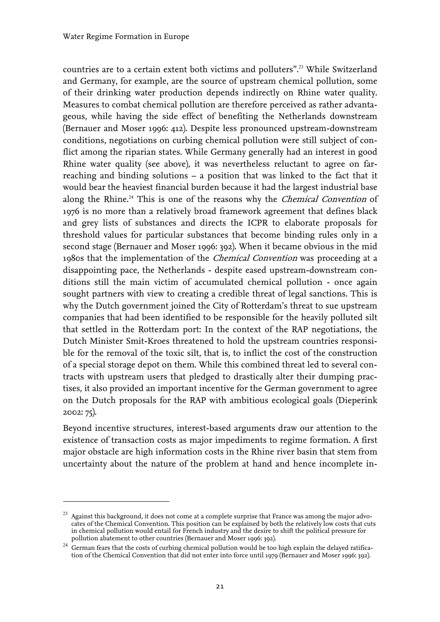$\overline{a}$ 

countries are to a certain extent both victims and polluters".<sup>23</sup>While Switzerland and Germany, for example, are the source of upstream chemical pollution, some of their drinking water production depends indirectly on Rhine water quality. Measures to combat chemical pollution are therefore perceived as rather advantageous, while having the side effect of benefiting the Netherlands downstream (Bernauer and Moser 1996: 412). Despite less pronounced upstream-downstream conditions, negotiations on curbing chemical pollution were still subject of conflict among the riparian states. While Germany generally had an interest in good Rhine water quality (see above), it was nevertheless reluctant to agree on farreaching and binding solutions – a position that was linked to the fact that it would bear the heaviest financial burden because it had the largest industrial base alongthe Rhine.<sup>24</sup> This is one of the reasons why the *Chemical Convention* of 1976 is no more than a relatively broad framework agreement that defines black and grey lists of substances and directs the ICPR to elaborate proposals for threshold values for particular substances that become binding rules only in a second stage (Bernauer and Moser 1996: 392). When it became obvious in the mid 1980s that the implementation of the *Chemical Convention* was proceeding at a disappointing pace, the Netherlands - despite eased upstream-downstream conditions still the main victim of accumulated chemical pollution - once again sought partners with view to creating a credible threat of legal sanctions. This is why the Dutch government joined the City of Rotterdam's threat to sue upstream companies that had been identified to be responsible for the heavily polluted silt that settled in the Rotterdam port: In the context of the RAP negotiations, the Dutch Minister Smit-Kroes threatened to hold the upstream countries responsible for the removal of the toxic silt, that is, to inflict the cost of the construction of a special storage depot on them. While this combined threat led to several contracts with upstream users that pledged to drastically alter their dumping practises, it also provided an important incentive for the German government to agree on the Dutch proposals for the RAP with ambitious ecological goals (Dieperink 2002: 75).

Beyond incentive structures, interest-based arguments draw our attention to the existence of transaction costs as major impediments to regime formation. A first major obstacle are high information costs in the Rhine river basin that stem from uncertainty about the nature of the problem at hand and hence incomplete in-

<span id="page-24-0"></span> $^{23}$  Against this background, it does not come at a complete surprise that France was among the major advocates of the Chemical Convention. This position can be explained by both the relatively low costs that cuts in chemical pollution would entail for French industry and the desire to shift the political pressure for pollution abatement to other countries (Bernauer and Moser 1996: 392).

<span id="page-24-1"></span><sup>&</sup>lt;sup>24</sup> German fears that the costs of curbing chemical pollution would be too high explain the delayed ratification of the Chemical Convention that did not enter into force until 1979 (Bernauer and Moser 1996: 392).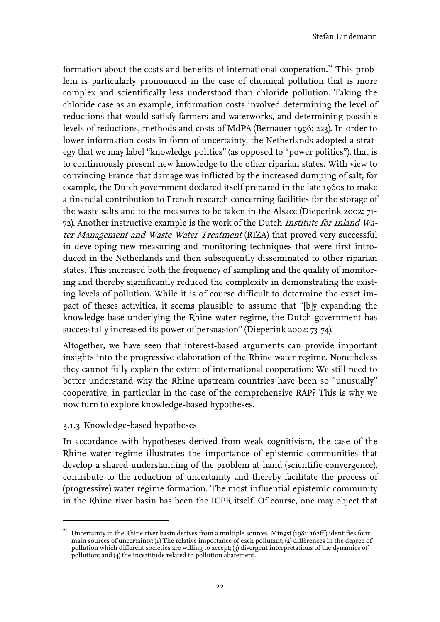formationabout the costs and benefits of international cooperation.<sup>25</sup> This problem is particularly pronounced in the case of chemical pollution that is more complex and scientifically less understood than chloride pollution. Taking the chloride case as an example, information costs involved determining the level of reductions that would satisfy farmers and waterworks, and determining possible levels of reductions, methods and costs of MdPA (Bernauer 1996: 223). In order to lower information costs in form of uncertainty, the Netherlands adopted a strategy that we may label "knowledge politics" (as opposed to "power politics"), that is to continuously present new knowledge to the other riparian states. With view to convincing France that damage was inflicted by the increased dumping of salt, for example, the Dutch government declared itself prepared in the late 1960s to make a financial contribution to French research concerning facilities for the storage of the waste salts and to the measures to be taken in the Alsace (Dieperink 2002: 71- 72). Another instructive example is the work of the Dutch Institute for Inland Water Management and Waste Water Treatment (RIZA) that proved very successful in developing new measuring and monitoring techniques that were first introduced in the Netherlands and then subsequently disseminated to other riparian states. This increased both the frequency of sampling and the quality of monitoring and thereby significantly reduced the complexity in demonstrating the existing levels of pollution. While it is of course difficult to determine the exact impact of theses activities, it seems plausible to assume that "[b]y expanding the knowledge base underlying the Rhine water regime, the Dutch government has successfully increased its power of persuasion" (Dieperink 2002: 73-74).

Altogether, we have seen that interest-based arguments can provide important insights into the progressive elaboration of the Rhine water regime. Nonetheless they cannot fully explain the extent of international cooperation: We still need to better understand why the Rhine upstream countries have been so "unusually" cooperative, in particular in the case of the comprehensive RAP? This is why we now turn to explore knowledge-based hypotheses.

#### <span id="page-25-0"></span>3.1.3 Knowledge-based hypotheses

 $\overline{a}$ 

In accordance with hypotheses derived from weak cognitivism, the case of the Rhine water regime illustrates the importance of epistemic communities that develop a shared understanding of the problem at hand (scientific convergence), contribute to the reduction of uncertainty and thereby facilitate the process of (progressive) water regime formation. The most influential epistemic community in the Rhine river basin has been the ICPR itself. Of course, one may object that

<span id="page-25-1"></span>Uncertainty in the Rhine river basin derives from a multiple sources. Mingst (1981: 162ff.) identifies four main sources of uncertainty: (1) The relative importance of each pollutant; (2) differences in the degree of pollution which different societies are willing to accept; (3) divergent interpretations of the dynamics of pollution; and (4) the incertitude related to pollution abatement.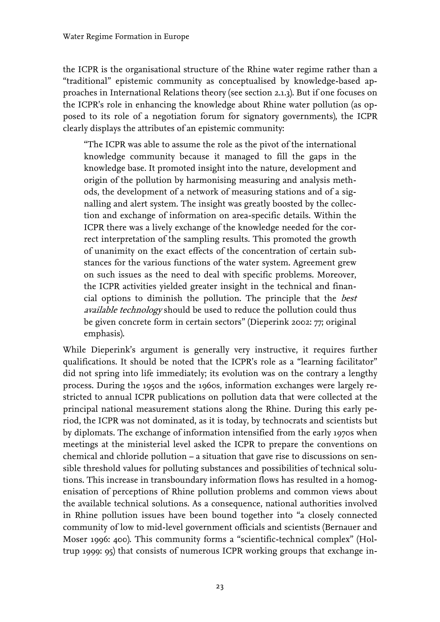the ICPR is the organisational structure of the Rhine water regime rather than a "traditional" epistemic community as conceptualised by knowledge-based approaches in International Relations theory (see section 2.1.3). But if one focuses on the ICPR's role in enhancing the knowledge about Rhine water pollution (as opposed to its role of a negotiation forum for signatory governments), the ICPR clearly displays the attributes of an epistemic community:

"The ICPR was able to assume the role as the pivot of the international knowledge community because it managed to fill the gaps in the knowledge base. It promoted insight into the nature, development and origin of the pollution by harmonising measuring and analysis methods, the development of a network of measuring stations and of a signalling and alert system. The insight was greatly boosted by the collection and exchange of information on area-specific details. Within the ICPR there was a lively exchange of the knowledge needed for the correct interpretation of the sampling results. This promoted the growth of unanimity on the exact effects of the concentration of certain substances for the various functions of the water system. Agreement grew on such issues as the need to deal with specific problems. Moreover, the ICPR activities yielded greater insight in the technical and financial options to diminish the pollution. The principle that the best available technology should be used to reduce the pollution could thus be given concrete form in certain sectors" (Dieperink 2002: 77; original emphasis).

While Dieperink's argument is generally very instructive, it requires further qualifications. It should be noted that the ICPR's role as a "learning facilitator" did not spring into life immediately; its evolution was on the contrary a lengthy process. During the 1950s and the 1960s, information exchanges were largely restricted to annual ICPR publications on pollution data that were collected at the principal national measurement stations along the Rhine. During this early period, the ICPR was not dominated, as it is today, by technocrats and scientists but by diplomats. The exchange of information intensified from the early 1970s when meetings at the ministerial level asked the ICPR to prepare the conventions on chemical and chloride pollution – a situation that gave rise to discussions on sensible threshold values for polluting substances and possibilities of technical solutions. This increase in transboundary information flows has resulted in a homogenisation of perceptions of Rhine pollution problems and common views about the available technical solutions. As a consequence, national authorities involved in Rhine pollution issues have been bound together into "a closely connected community of low to mid-level government officials and scientists (Bernauer and Moser 1996: 400). This community forms a "scientific-technical complex" (Holtrup 1999: 95) that consists of numerous ICPR working groups that exchange in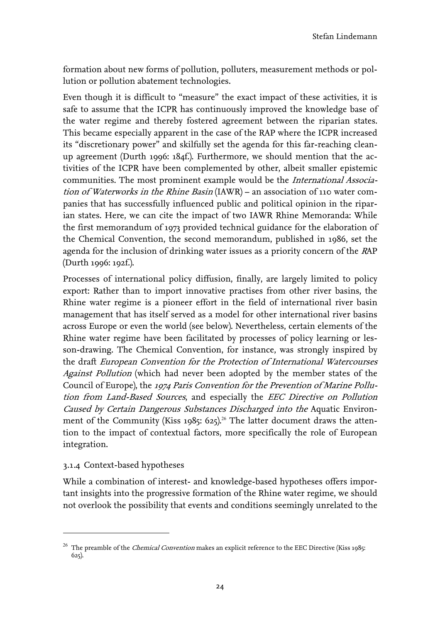formation about new forms of pollution, polluters, measurement methods or pollution or pollution abatement technologies.

Even though it is difficult to "measure" the exact impact of these activities, it is safe to assume that the ICPR has continuously improved the knowledge base of the water regime and thereby fostered agreement between the riparian states. This became especially apparent in the case of the RAP where the ICPR increased its "discretionary power" and skilfully set the agenda for this far-reaching cleanup agreement (Durth 1996: 184f.). Furthermore, we should mention that the activities of the ICPR have been complemented by other, albeit smaller epistemic communities. The most prominent example would be the International Association of Waterworks in the Rhine Basin (IAWR) – an association of 110 water companies that has successfully influenced public and political opinion in the riparian states. Here, we can cite the impact of two IAWR Rhine Memoranda: While the first memorandum of 1973 provided technical guidance for the elaboration of the Chemical Convention, the second memorandum, published in 1986, set the agenda for the inclusion of drinking water issues as a priority concern of the RAP (Durth 1996: 192f.).

Processes of international policy diffusion, finally, are largely limited to policy export: Rather than to import innovative practises from other river basins, the Rhine water regime is a pioneer effort in the field of international river basin management that has itself served as a model for other international river basins across Europe or even the world (see below). Nevertheless, certain elements of the Rhine water regime have been facilitated by processes of policy learning or lesson-drawing. The Chemical Convention, for instance, was strongly inspired by the draft European Convention for the Protection of International Watercourses Against Pollution (which had never been adopted by the member states of the Council of Europe), the 1974 Paris Convention for the Prevention of Marine Pollution from Land-Based Sources, and especially the EEC Directive on Pollution Caused by Certain Dangerous Substances Discharged into the Aquatic Environmentof the Community (Kiss 1985: 625).<sup>26</sup> The latter document draws the attention to the impact of contextual factors, more specifically the role of European integration.

#### <span id="page-27-0"></span>3.1.4 Context-based hypotheses

 $\overline{a}$ 

While a combination of interest- and knowledge-based hypotheses offers important insights into the progressive formation of the Rhine water regime, we should not overlook the possibility that events and conditions seemingly unrelated to the

<span id="page-27-1"></span><sup>&</sup>lt;sup>26</sup> The preamble of the *Chemical Convention* makes an explicit reference to the EEC Directive (Kiss 1985: 625).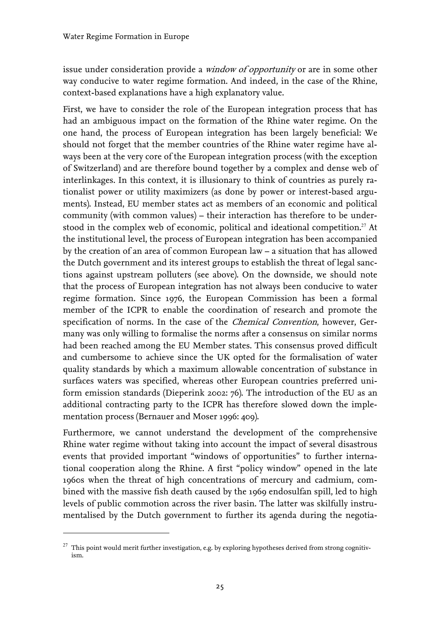issue under consideration provide a window of opportunity or are in some other way conducive to water regime formation. And indeed, in the case of the Rhine, context-based explanations have a high explanatory value.

First, we have to consider the role of the European integration process that has had an ambiguous impact on the formation of the Rhine water regime. On the one hand, the process of European integration has been largely beneficial: We should not forget that the member countries of the Rhine water regime have always been at the very core of the European integration process (with the exception of Switzerland) and are therefore bound together by a complex and dense web of interlinkages. In this context, it is illusionary to think of countries as purely rationalist power or utility maximizers (as done by power or interest-based arguments). Instead, EU member states act as members of an economic and political community (with common values) – their interaction has therefore to be understoodin the complex web of economic, political and ideational competition.<sup>27</sup> At the institutional level, the process of European integration has been accompanied by the creation of an area of common European law – a situation that has allowed the Dutch government and its interest groups to establish the threat of legal sanctions against upstream polluters (see above). On the downside, we should note that the process of European integration has not always been conducive to water regime formation. Since 1976, the European Commission has been a formal member of the ICPR to enable the coordination of research and promote the specification of norms. In the case of the *Chemical Convention*, however, Germany was only willing to formalise the norms after a consensus on similar norms had been reached among the EU Member states. This consensus proved difficult and cumbersome to achieve since the UK opted for the formalisation of water quality standards by which a maximum allowable concentration of substance in surfaces waters was specified, whereas other European countries preferred uniform emission standards (Dieperink 2002: 76). The introduction of the EU as an additional contracting party to the ICPR has therefore slowed down the implementation process (Bernauer and Moser 1996: 409).

Furthermore, we cannot understand the development of the comprehensive Rhine water regime without taking into account the impact of several disastrous events that provided important "windows of opportunities" to further international cooperation along the Rhine. A first "policy window" opened in the late 1960s when the threat of high concentrations of mercury and cadmium, combined with the massive fish death caused by the 1969 endosulfan spill, led to high levels of public commotion across the river basin. The latter was skilfully instrumentalised by the Dutch government to further its agenda during the negotia-

 $\overline{a}$ 

<span id="page-28-0"></span> $27$  This point would merit further investigation, e.g. by exploring hypotheses derived from strong cognitivism.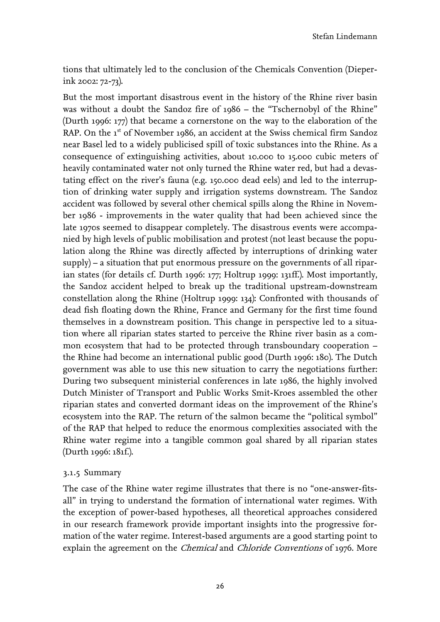tions that ultimately led to the conclusion of the Chemicals Convention (Dieperink 2002: 72-73).

But the most important disastrous event in the history of the Rhine river basin was without a doubt the Sandoz fire of 1986 – the "Tschernobyl of the Rhine" (Durth 1996: 177) that became a cornerstone on the way to the elaboration of the RAP. On the 1<sup>st</sup> of November 1986, an accident at the Swiss chemical firm Sandoz near Basel led to a widely publicised spill of toxic substances into the Rhine. As a consequence of extinguishing activities, about 10.000 to 15.000 cubic meters of heavily contaminated water not only turned the Rhine water red, but had a devastating effect on the river's fauna (e.g. 150.000 dead eels) and led to the interruption of drinking water supply and irrigation systems downstream. The Sandoz accident was followed by several other chemical spills along the Rhine in November 1986 - improvements in the water quality that had been achieved since the late 1970s seemed to disappear completely. The disastrous events were accompanied by high levels of public mobilisation and protest (not least because the population along the Rhine was directly affected by interruptions of drinking water supply) – a situation that put enormous pressure on the governments of all riparian states (for details cf. Durth 1996: 177; Holtrup 1999: 131ff.). Most importantly, the Sandoz accident helped to break up the traditional upstream-downstream constellation along the Rhine (Holtrup 1999: 134): Confronted with thousands of dead fish floating down the Rhine, France and Germany for the first time found themselves in a downstream position. This change in perspective led to a situation where all riparian states started to perceive the Rhine river basin as a common ecosystem that had to be protected through transboundary cooperation – the Rhine had become an international public good (Durth 1996: 180). The Dutch government was able to use this new situation to carry the negotiations further: During two subsequent ministerial conferences in late 1986, the highly involved Dutch Minister of Transport and Public Works Smit-Kroes assembled the other riparian states and converted dormant ideas on the improvement of the Rhine's ecosystem into the RAP. The return of the salmon became the "political symbol" of the RAP that helped to reduce the enormous complexities associated with the Rhine water regime into a tangible common goal shared by all riparian states (Durth 1996: 181f.).

#### <span id="page-29-0"></span>3.1.5 Summary

The case of the Rhine water regime illustrates that there is no "one-answer-fitsall" in trying to understand the formation of international water regimes. With the exception of power-based hypotheses, all theoretical approaches considered in our research framework provide important insights into the progressive formation of the water regime. Interest-based arguments are a good starting point to explain the agreement on the *Chemical* and *Chloride Conventions* of 1976. More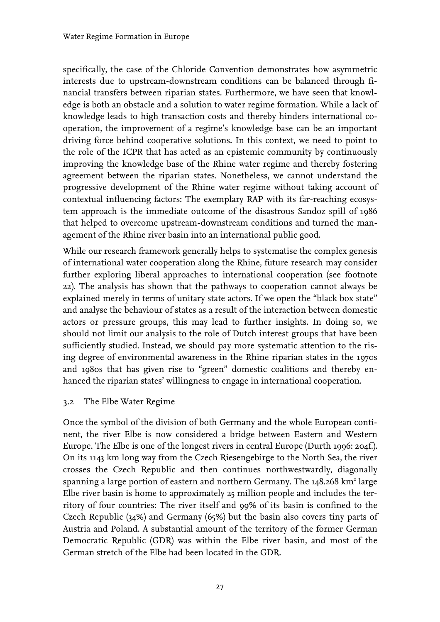specifically, the case of the Chloride Convention demonstrates how asymmetric interests due to upstream-downstream conditions can be balanced through financial transfers between riparian states. Furthermore, we have seen that knowledge is both an obstacle and a solution to water regime formation. While a lack of knowledge leads to high transaction costs and thereby hinders international cooperation, the improvement of a regime's knowledge base can be an important driving force behind cooperative solutions. In this context, we need to point to the role of the ICPR that has acted as an epistemic community by continuously improving the knowledge base of the Rhine water regime and thereby fostering agreement between the riparian states. Nonetheless, we cannot understand the progressive development of the Rhine water regime without taking account of contextual influencing factors: The exemplary RAP with its far-reaching ecosystem approach is the immediate outcome of the disastrous Sandoz spill of 1986 that helped to overcome upstream-downstream conditions and turned the management of the Rhine river basin into an international public good.

While our research framework generally helps to systematise the complex genesis of international water cooperation along the Rhine, future research may consider further exploring liberal approaches to international cooperation (see footnote 22). The analysis has shown that the pathways to cooperation cannot always be explained merely in terms of unitary state actors. If we open the "black box state" and analyse the behaviour of states as a result of the interaction between domestic actors or pressure groups, this may lead to further insights. In doing so, we should not limit our analysis to the role of Dutch interest groups that have been sufficiently studied. Instead, we should pay more systematic attention to the rising degree of environmental awareness in the Rhine riparian states in the 1970s and 1980s that has given rise to "green" domestic coalitions and thereby enhanced the riparian states' willingness to engage in international cooperation.

<span id="page-30-0"></span>3.2 The Elbe Water Regime

Once the symbol of the division of both Germany and the whole European continent, the river Elbe is now considered a bridge between Eastern and Western Europe. The Elbe is one of the longest rivers in central Europe (Durth 1996: 204f.). On its 1143 km long way from the Czech Riesengebirge to the North Sea, the river crosses the Czech Republic and then continues northwestwardly, diagonally spanning a large portion of eastern and northern Germany. The 148.268 km<sup>2</sup> large Elbe river basin is home to approximately 25 million people and includes the territory of four countries: The river itself and 99% of its basin is confined to the Czech Republic (34%) and Germany (65%) but the basin also covers tiny parts of Austria and Poland. A substantial amount of the territory of the former German Democratic Republic (GDR) was within the Elbe river basin, and most of the German stretch of the Elbe had been located in the GDR.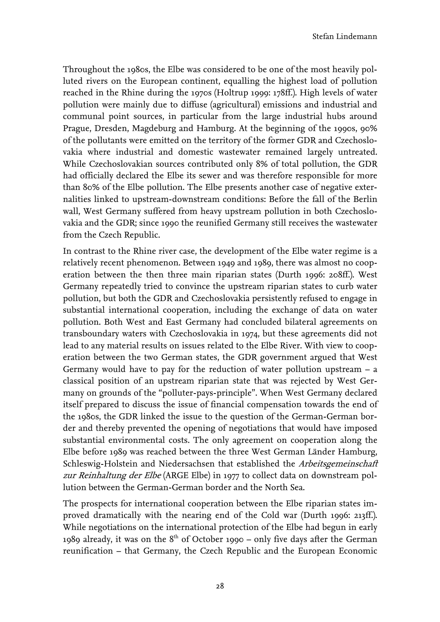Throughout the 1980s, the Elbe was considered to be one of the most heavily polluted rivers on the European continent, equalling the highest load of pollution reached in the Rhine during the 1970s (Holtrup 1999: 178ff.). High levels of water pollution were mainly due to diffuse (agricultural) emissions and industrial and communal point sources, in particular from the large industrial hubs around Prague, Dresden, Magdeburg and Hamburg. At the beginning of the 1990s, 90% of the pollutants were emitted on the territory of the former GDR and Czechoslovakia where industrial and domestic wastewater remained largely untreated. While Czechoslovakian sources contributed only 8% of total pollution, the GDR had officially declared the Elbe its sewer and was therefore responsible for more than 80% of the Elbe pollution. The Elbe presents another case of negative externalities linked to upstream-downstream conditions: Before the fall of the Berlin wall, West Germany suffered from heavy upstream pollution in both Czechoslovakia and the GDR; since 1990 the reunified Germany still receives the wastewater from the Czech Republic.

In contrast to the Rhine river case, the development of the Elbe water regime is a relatively recent phenomenon. Between 1949 and 1989, there was almost no cooperation between the then three main riparian states (Durth 1996: 208ff.). West Germany repeatedly tried to convince the upstream riparian states to curb water pollution, but both the GDR and Czechoslovakia persistently refused to engage in substantial international cooperation, including the exchange of data on water pollution. Both West and East Germany had concluded bilateral agreements on transboundary waters with Czechoslovakia in 1974, but these agreements did not lead to any material results on issues related to the Elbe River. With view to cooperation between the two German states, the GDR government argued that West Germany would have to pay for the reduction of water pollution upstream – a classical position of an upstream riparian state that was rejected by West Germany on grounds of the "polluter-pays-principle". When West Germany declared itself prepared to discuss the issue of financial compensation towards the end of the 1980s, the GDR linked the issue to the question of the German-German border and thereby prevented the opening of negotiations that would have imposed substantial environmental costs. The only agreement on cooperation along the Elbe before 1989 was reached between the three West German Länder Hamburg, Schleswig-Holstein and Niedersachsen that established the Arbeitsgemeinschaft zur Reinhaltung der Elbe (ARGE Elbe) in 1977 to collect data on downstream pollution between the German-German border and the North Sea.

The prospects for international cooperation between the Elbe riparian states improved dramatically with the nearing end of the Cold war (Durth 1996: 213ff.). While negotiations on the international protection of the Elbe had begun in early 1989 already, it was on the  $8<sup>th</sup>$  of October 1990 – only five days after the German reunification – that Germany, the Czech Republic and the European Economic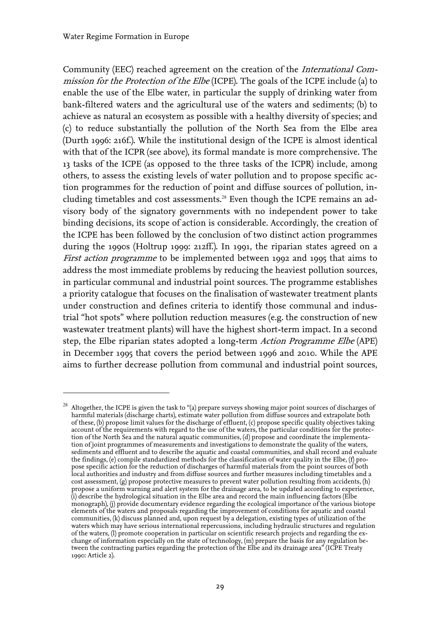$\overline{a}$ 

Community (EEC) reached agreement on the creation of the International Commission for the Protection of the Elbe (ICPE). The goals of the ICPE include (a) to enable the use of the Elbe water, in particular the supply of drinking water from bank-filtered waters and the agricultural use of the waters and sediments; (b) to achieve as natural an ecosystem as possible with a healthy diversity of species; and (c) to reduce substantially the pollution of the North Sea from the Elbe area (Durth 1996: 216f.). While the institutional design of the ICPE is almost identical with that of the ICPR (see above), its formal mandate is more comprehensive. The 13 tasks of the ICPE (as opposed to the three tasks of the ICPR) include, among others, to assess the existing levels of water pollution and to propose specific action programmes for the reduction of point and diffuse sources of pollution, including timetables and cost assessments.28Even though the ICPE remains an advisory body of the signatory governments with no independent power to take binding decisions, its scope of action is considerable. Accordingly, the creation of the ICPE has been followed by the conclusion of two distinct action programmes during the 1990s (Holtrup 1999: 212ff.). In 1991, the riparian states agreed on a First action programme to be implemented between 1992 and 1995 that aims to address the most immediate problems by reducing the heaviest pollution sources, in particular communal and industrial point sources. The programme establishes a priority catalogue that focuses on the finalisation of wastewater treatment plants under construction and defines criteria to identify those communal and industrial "hot spots" where pollution reduction measures (e.g. the construction of new wastewater treatment plants) will have the highest short-term impact. In a second step, the Elbe riparian states adopted a long-term Action Programme Elbe (APE) in December 1995 that covers the period between 1996 and 2010. While the APE aims to further decrease pollution from communal and industrial point sources,

<span id="page-32-0"></span> $^{28}$  Altogether, the ICPE is given the task to "(a) prepare surveys showing major point sources of discharges of harmful materials (discharge charts), estimate water pollution from diffuse sources and extrapolate both of these, (b) propose limit values for the discharge of effluent, (c) propose specific quality objectives taking account of the requirements with regard to the use of the waters, the particular conditions for the protection of the North Sea and the natural aquatic communities, (d) propose and coordinate the implementation of joint programmes of measurements and investigations to demonstrate the quality of the waters, sediments and effluent and to describe the aquatic and coastal communities, and shall record and evaluate the findings, (e) compile standardized methods for the classification of water quality in the Elbe, (f) propose specific action for the reduction of discharges of harmful materials from the point sources of both local authorities and industry and from diffuse sources and further measures including timetables and a cost assessment, (g) propose protective measures to prevent water pollution resulting from accidents, (h) propose a uniform warning and alert system for the drainage area, to be updated according to experience, (i) describe the hydrological situation in the Elbe area and record the main influencing factors (Elbe monograph), (j) provide documentary evidence regarding the ecological importance of the various biotope elements of the waters and proposals regarding the improvement of conditions for aquatic and coastal communities, (k) discuss planned and, upon request by a delegation, existing types of utilization of the waters which may have serious international repercussions, including hydraulic structures and regulation of the waters, (l) promote cooperation in particular on scientific research projects and regarding the exchange of information especially on the state of technology, (m) prepare the basis for any regulation between the contracting parties regarding the protection of the Elbe and its drainage area" (ICPE Treaty 1990: Article 2).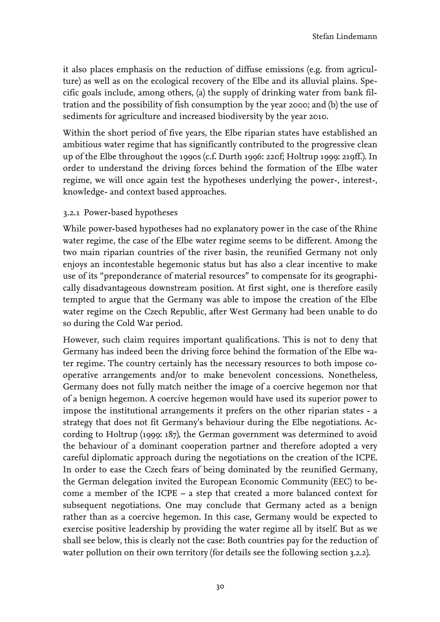it also places emphasis on the reduction of diffuse emissions (e.g. from agriculture) as well as on the ecological recovery of the Elbe and its alluvial plains. Specific goals include, among others, (a) the supply of drinking water from bank filtration and the possibility of fish consumption by the year 2000; and (b) the use of sediments for agriculture and increased biodiversity by the year 2010.

Within the short period of five years, the Elbe riparian states have established an ambitious water regime that has significantly contributed to the progressive clean up of the Elbe throughout the 1990s (c.f. Durth 1996: 220f; Holtrup 1999: 219ff.). In order to understand the driving forces behind the formation of the Elbe water regime, we will once again test the hypotheses underlying the power-, interest-, knowledge- and context based approaches.

#### <span id="page-33-0"></span>3.2.1 Power-based hypotheses

While power-based hypotheses had no explanatory power in the case of the Rhine water regime, the case of the Elbe water regime seems to be different. Among the two main riparian countries of the river basin, the reunified Germany not only enjoys an incontestable hegemonic status but has also a clear incentive to make use of its "preponderance of material resources" to compensate for its geographically disadvantageous downstream position. At first sight, one is therefore easily tempted to argue that the Germany was able to impose the creation of the Elbe water regime on the Czech Republic, after West Germany had been unable to do so during the Cold War period.

However, such claim requires important qualifications. This is not to deny that Germany has indeed been the driving force behind the formation of the Elbe water regime. The country certainly has the necessary resources to both impose cooperative arrangements and/or to make benevolent concessions. Nonetheless, Germany does not fully match neither the image of a coercive hegemon nor that of a benign hegemon. A coercive hegemon would have used its superior power to impose the institutional arrangements it prefers on the other riparian states - a strategy that does not fit Germany's behaviour during the Elbe negotiations. According to Holtrup (1999: 187), the German government was determined to avoid the behaviour of a dominant cooperation partner and therefore adopted a very careful diplomatic approach during the negotiations on the creation of the ICPE. In order to ease the Czech fears of being dominated by the reunified Germany, the German delegation invited the European Economic Community (EEC) to become a member of the ICPE – a step that created a more balanced context for subsequent negotiations. One may conclude that Germany acted as a benign rather than as a coercive hegemon. In this case, Germany would be expected to exercise positive leadership by providing the water regime all by itself. But as we shall see below, this is clearly not the case: Both countries pay for the reduction of water pollution on their own territory (for details see the following section 3.2.2).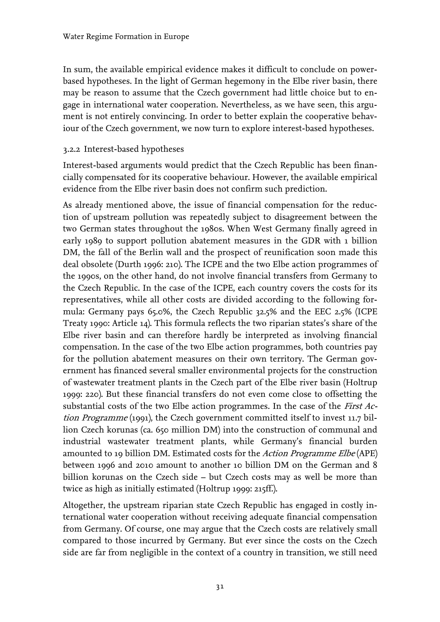In sum, the available empirical evidence makes it difficult to conclude on powerbased hypotheses. In the light of German hegemony in the Elbe river basin, there may be reason to assume that the Czech government had little choice but to engage in international water cooperation. Nevertheless, as we have seen, this argument is not entirely convincing. In order to better explain the cooperative behaviour of the Czech government, we now turn to explore interest-based hypotheses.

#### <span id="page-34-0"></span>3.2.2 Interest-based hypotheses

Interest-based arguments would predict that the Czech Republic has been financially compensated for its cooperative behaviour. However, the available empirical evidence from the Elbe river basin does not confirm such prediction.

As already mentioned above, the issue of financial compensation for the reduction of upstream pollution was repeatedly subject to disagreement between the two German states throughout the 1980s. When West Germany finally agreed in early 1989 to support pollution abatement measures in the GDR with 1 billion DM, the fall of the Berlin wall and the prospect of reunification soon made this deal obsolete (Durth 1996: 210). The ICPE and the two Elbe action programmes of the 1990s, on the other hand, do not involve financial transfers from Germany to the Czech Republic. In the case of the ICPE, each country covers the costs for its representatives, while all other costs are divided according to the following formula: Germany pays 65.0%, the Czech Republic 32.5% and the EEC 2.5% (ICPE Treaty 1990: Article 14). This formula reflects the two riparian states's share of the Elbe river basin and can therefore hardly be interpreted as involving financial compensation. In the case of the two Elbe action programmes, both countries pay for the pollution abatement measures on their own territory. The German government has financed several smaller environmental projects for the construction of wastewater treatment plants in the Czech part of the Elbe river basin (Holtrup 1999: 220). But these financial transfers do not even come close to offsetting the substantial costs of the two Elbe action programmes. In the case of the *First Ac*tion Programme (1991), the Czech government committed itself to invest 11.7 billion Czech korunas (ca. 650 million DM) into the construction of communal and industrial wastewater treatment plants, while Germany's financial burden amounted to 19 billion DM. Estimated costs for the Action Programme Elbe (APE) between 1996 and 2010 amount to another 10 billion DM on the German and 8 billion korunas on the Czech side – but Czech costs may as well be more than twice as high as initially estimated (Holtrup 1999: 215ff.).

Altogether, the upstream riparian state Czech Republic has engaged in costly international water cooperation without receiving adequate financial compensation from Germany. Of course, one may argue that the Czech costs are relatively small compared to those incurred by Germany. But ever since the costs on the Czech side are far from negligible in the context of a country in transition, we still need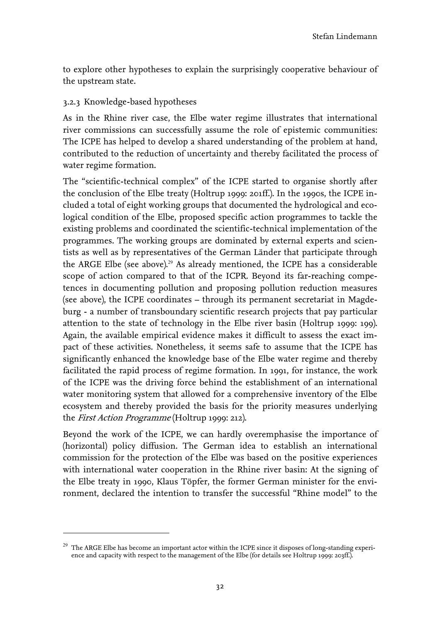to explore other hypotheses to explain the surprisingly cooperative behaviour of the upstream state.

#### <span id="page-35-0"></span>3.2.3 Knowledge-based hypotheses

 $\overline{a}$ 

As in the Rhine river case, the Elbe water regime illustrates that international river commissions can successfully assume the role of epistemic communities: The ICPE has helped to develop a shared understanding of the problem at hand, contributed to the reduction of uncertainty and thereby facilitated the process of water regime formation.

The "scientific-technical complex" of the ICPE started to organise shortly after the conclusion of the Elbe treaty (Holtrup 1999: 201ff.). In the 1990s, the ICPE included a total of eight working groups that documented the hydrological and ecological condition of the Elbe, proposed specific action programmes to tackle the existing problems and coordinated the scientific-technical implementation of the programmes. The working groups are dominated by external experts and scientists as well as by representatives of the German Länder that participate through theARGE Elbe (see above).<sup>29</sup> As already mentioned, the ICPE has a considerable scope of action compared to that of the ICPR. Beyond its far-reaching competences in documenting pollution and proposing pollution reduction measures (see above), the ICPE coordinates – through its permanent secretariat in Magdeburg - a number of transboundary scientific research projects that pay particular attention to the state of technology in the Elbe river basin (Holtrup 1999: 199). Again, the available empirical evidence makes it difficult to assess the exact impact of these activities. Nonetheless, it seems safe to assume that the ICPE has significantly enhanced the knowledge base of the Elbe water regime and thereby facilitated the rapid process of regime formation. In 1991, for instance, the work of the ICPE was the driving force behind the establishment of an international water monitoring system that allowed for a comprehensive inventory of the Elbe ecosystem and thereby provided the basis for the priority measures underlying the First Action Programme (Holtrup 1999: 212).

Beyond the work of the ICPE, we can hardly overemphasise the importance of (horizontal) policy diffusion. The German idea to establish an international commission for the protection of the Elbe was based on the positive experiences with international water cooperation in the Rhine river basin: At the signing of the Elbe treaty in 1990, Klaus Töpfer, the former German minister for the environment, declared the intention to transfer the successful "Rhine model" to the

<span id="page-35-1"></span> $^{29}$  The ARGE Elbe has become an important actor within the ICPE since it disposes of long-standing experience and capacity with respect to the management of the Elbe (for details see Holtrup 1999: 203ff.).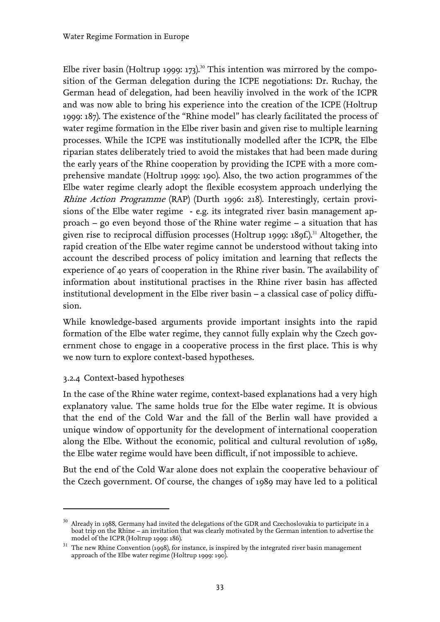Elberiver basin (Holtrup 1999: 173).<sup>30</sup> This intention was mirrored by the composition of the German delegation during the ICPE negotiations: Dr. Ruchay, the German head of delegation, had been heaviliy involved in the work of the ICPR and was now able to bring his experience into the creation of the ICPE (Holtrup 1999: 187). The existence of the "Rhine model" has clearly facilitated the process of water regime formation in the Elbe river basin and given rise to multiple learning processes. While the ICPE was institutionally modelled after the ICPR, the Elbe riparian states deliberately tried to avoid the mistakes that had been made during the early years of the Rhine cooperation by providing the ICPE with a more comprehensive mandate (Holtrup 1999: 190). Also, the two action programmes of the Elbe water regime clearly adopt the flexible ecosystem approach underlying the Rhine Action Programme (RAP) (Durth 1996: 218). Interestingly, certain provisions of the Elbe water regime - e.g. its integrated river basin management approach – go even beyond those of the Rhine water regime – a situation that has givenrise to reciprocal diffusion processes (Holtrup 1999: 189f.).<sup>31</sup> Altogether, the rapid creation of the Elbe water regime cannot be understood without taking into account the described process of policy imitation and learning that reflects the experience of 40 years of cooperation in the Rhine river basin. The availability of information about institutional practises in the Rhine river basin has affected institutional development in the Elbe river basin – a classical case of policy diffusion.

While knowledge-based arguments provide important insights into the rapid formation of the Elbe water regime, they cannot fully explain why the Czech government chose to engage in a cooperative process in the first place. This is why we now turn to explore context-based hypotheses.

#### <span id="page-36-0"></span>3.2.4 Context-based hypotheses

 $\overline{a}$ 

In the case of the Rhine water regime, context-based explanations had a very high explanatory value. The same holds true for the Elbe water regime. It is obvious that the end of the Cold War and the fall of the Berlin wall have provided a unique window of opportunity for the development of international cooperation along the Elbe. Without the economic, political and cultural revolution of 1989, the Elbe water regime would have been difficult, if not impossible to achieve.

But the end of the Cold War alone does not explain the cooperative behaviour of the Czech government. Of course, the changes of 1989 may have led to a political

<span id="page-36-1"></span> $30$  Already in 1988, Germany had invited the delegations of the GDR and Czechoslovakia to participate in a boat trip on the Rhine – an invitation that was clearly motivated by the German intention to advertise the model of the ICPR (Holtrup 1999: 186).

<span id="page-36-2"></span> $^{\rm 31}$  The new Rhine Convention (1998), for instance, is inspired by the integrated river basin management approach of the Elbe water regime (Holtrup 1999: 190).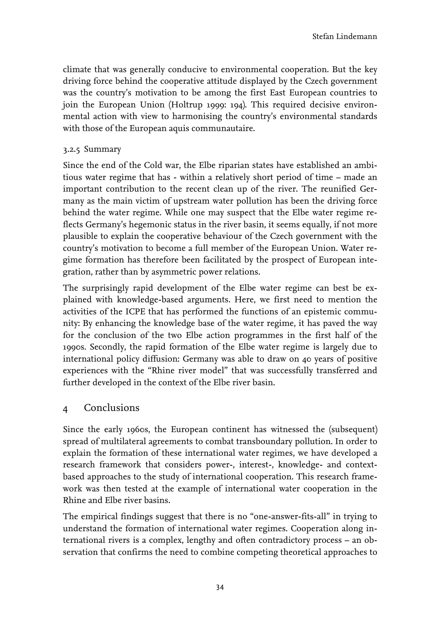climate that was generally conducive to environmental cooperation. But the key driving force behind the cooperative attitude displayed by the Czech government was the country's motivation to be among the first East European countries to join the European Union (Holtrup 1999: 194). This required decisive environmental action with view to harmonising the country's environmental standards with those of the European aquis communautaire.

#### <span id="page-37-0"></span>3.2.5 Summary

Since the end of the Cold war, the Elbe riparian states have established an ambitious water regime that has - within a relatively short period of time – made an important contribution to the recent clean up of the river. The reunified Germany as the main victim of upstream water pollution has been the driving force behind the water regime. While one may suspect that the Elbe water regime reflects Germany's hegemonic status in the river basin, it seems equally, if not more plausible to explain the cooperative behaviour of the Czech government with the country's motivation to become a full member of the European Union. Water regime formation has therefore been facilitated by the prospect of European integration, rather than by asymmetric power relations.

The surprisingly rapid development of the Elbe water regime can best be explained with knowledge-based arguments. Here, we first need to mention the activities of the ICPE that has performed the functions of an epistemic community: By enhancing the knowledge base of the water regime, it has paved the way for the conclusion of the two Elbe action programmes in the first half of the 1990s. Secondly, the rapid formation of the Elbe water regime is largely due to international policy diffusion: Germany was able to draw on 40 years of positive experiences with the "Rhine river model" that was successfully transferred and further developed in the context of the Elbe river basin.

#### <span id="page-37-1"></span>4 Conclusions

Since the early 1960s, the European continent has witnessed the (subsequent) spread of multilateral agreements to combat transboundary pollution. In order to explain the formation of these international water regimes, we have developed a research framework that considers power-, interest-, knowledge- and contextbased approaches to the study of international cooperation. This research framework was then tested at the example of international water cooperation in the Rhine and Elbe river basins.

The empirical findings suggest that there is no "one-answer-fits-all" in trying to understand the formation of international water regimes. Cooperation along international rivers is a complex, lengthy and often contradictory process – an observation that confirms the need to combine competing theoretical approaches to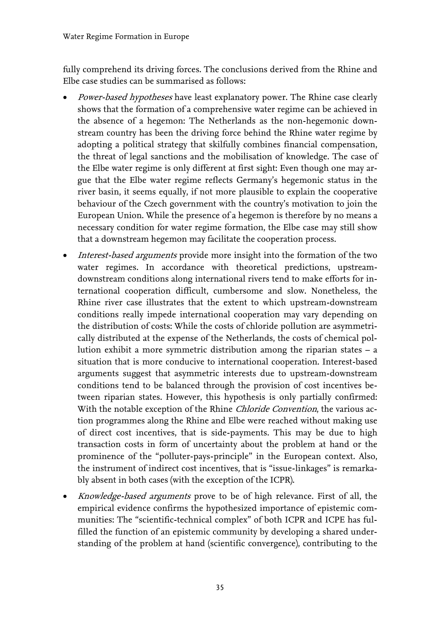fully comprehend its driving forces. The conclusions derived from the Rhine and Elbe case studies can be summarised as follows:

- Power-based hypotheses have least explanatory power. The Rhine case clearly shows that the formation of a comprehensive water regime can be achieved in the absence of a hegemon: The Netherlands as the non-hegemonic downstream country has been the driving force behind the Rhine water regime by adopting a political strategy that skilfully combines financial compensation, the threat of legal sanctions and the mobilisation of knowledge. The case of the Elbe water regime is only different at first sight: Even though one may argue that the Elbe water regime reflects Germany's hegemonic status in the river basin, it seems equally, if not more plausible to explain the cooperative behaviour of the Czech government with the country's motivation to join the European Union. While the presence of a hegemon is therefore by no means a necessary condition for water regime formation, the Elbe case may still show that a downstream hegemon may facilitate the cooperation process.
- Interest-based arguments provide more insight into the formation of the two water regimes. In accordance with theoretical predictions, upstreamdownstream conditions along international rivers tend to make efforts for international cooperation difficult, cumbersome and slow. Nonetheless, the Rhine river case illustrates that the extent to which upstream-downstream conditions really impede international cooperation may vary depending on the distribution of costs: While the costs of chloride pollution are asymmetrically distributed at the expense of the Netherlands, the costs of chemical pollution exhibit a more symmetric distribution among the riparian states – a situation that is more conducive to international cooperation. Interest-based arguments suggest that asymmetric interests due to upstream-downstream conditions tend to be balanced through the provision of cost incentives between riparian states. However, this hypothesis is only partially confirmed: With the notable exception of the Rhine Chloride Convention, the various action programmes along the Rhine and Elbe were reached without making use of direct cost incentives, that is side-payments. This may be due to high transaction costs in form of uncertainty about the problem at hand or the prominence of the "polluter-pays-principle" in the European context. Also, the instrument of indirect cost incentives, that is "issue-linkages" is remarkably absent in both cases (with the exception of the ICPR).
- Knowledge-based arguments prove to be of high relevance. First of all, the empirical evidence confirms the hypothesized importance of epistemic communities: The "scientific-technical complex" of both ICPR and ICPE has fulfilled the function of an epistemic community by developing a shared understanding of the problem at hand (scientific convergence), contributing to the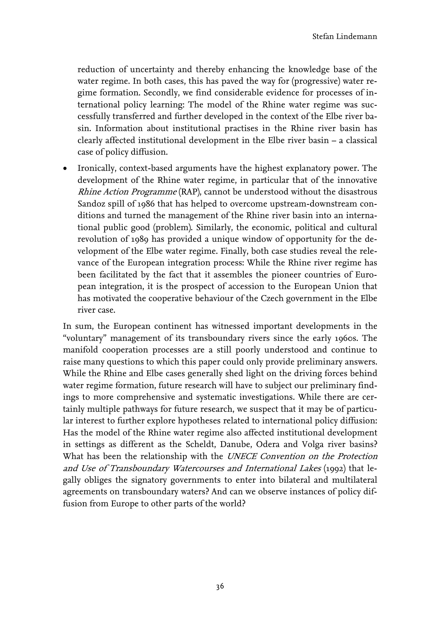reduction of uncertainty and thereby enhancing the knowledge base of the water regime. In both cases, this has paved the way for (progressive) water regime formation. Secondly, we find considerable evidence for processes of international policy learning: The model of the Rhine water regime was successfully transferred and further developed in the context of the Elbe river basin. Information about institutional practises in the Rhine river basin has clearly affected institutional development in the Elbe river basin – a classical case of policy diffusion.

• Ironically, context-based arguments have the highest explanatory power. The development of the Rhine water regime, in particular that of the innovative Rhine Action Programme (RAP), cannot be understood without the disastrous Sandoz spill of 1986 that has helped to overcome upstream-downstream conditions and turned the management of the Rhine river basin into an international public good (problem). Similarly, the economic, political and cultural revolution of 1989 has provided a unique window of opportunity for the development of the Elbe water regime. Finally, both case studies reveal the relevance of the European integration process: While the Rhine river regime has been facilitated by the fact that it assembles the pioneer countries of European integration, it is the prospect of accession to the European Union that has motivated the cooperative behaviour of the Czech government in the Elbe river case.

In sum, the European continent has witnessed important developments in the "voluntary" management of its transboundary rivers since the early 1960s. The manifold cooperation processes are a still poorly understood and continue to raise many questions to which this paper could only provide preliminary answers. While the Rhine and Elbe cases generally shed light on the driving forces behind water regime formation, future research will have to subject our preliminary findings to more comprehensive and systematic investigations. While there are certainly multiple pathways for future research, we suspect that it may be of particular interest to further explore hypotheses related to international policy diffusion: Has the model of the Rhine water regime also affected institutional development in settings as different as the Scheldt, Danube, Odera and Volga river basins? What has been the relationship with the UNECE Convention on the Protection and Use of Transboundary Watercourses and International Lakes (1992) that legally obliges the signatory governments to enter into bilateral and multilateral agreements on transboundary waters? And can we observe instances of policy diffusion from Europe to other parts of the world?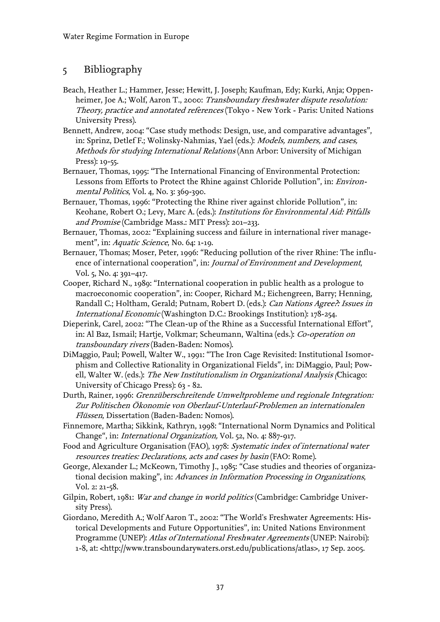## <span id="page-40-0"></span>5 Bibliography

- Beach, Heather L.; Hammer, Jesse; Hewitt, J. Joseph; Kaufman, Edy; Kurki, Anja; Oppenheimer, Joe A.; Wolf, Aaron T., 2000: Transboundary freshwater dispute resolution: Theory, practice and annotated references (Tokyo - New York - Paris: United Nations University Press).
- Bennett, Andrew, 2004: "Case study methods: Design, use, and comparative advantages", in: Sprinz, Detlef F.; Wolinsky-Nahmias, Yael (eds.): Models, numbers, and cases, Methods for studying International Relations (Ann Arbor: University of Michigan Press): 19-55.
- Bernauer, Thomas, 1995: "The International Financing of Environmental Protection: Lessons from Efforts to Protect the Rhine against Chloride Pollution", in: Environmental Politics, Vol. 4, No. 3: 369-390.
- Bernauer, Thomas, 1996: "Protecting the Rhine river against chloride Pollution", in: Keohane, Robert O.; Levy, Marc A. (eds.): Institutions for Environmental Aid: Pitfalls and Promise (Cambridge Mass.: MIT Press): 201–233.
- Bernauer, Thomas, 2002: "Explaining success and failure in international river management", in: *Aquatic Science*, No. 64: 1-19.
- Bernauer, Thomas; Moser, Peter, 1996: "Reducing pollution of the river Rhine: The influence of international cooperation", in: *Journal of Environment and Development*, Vol. 5, No. 4: 391–417.
- Cooper, Richard N., 1989: "International cooperation in public health as a prologue to macroeconomic cooperation", in: Cooper, Richard M.; Eichengreen, Barry; Henning, Randall C.; Holtham, Gerald; Putnam, Robert D. (eds.): Can Nations Agree?: Issues in International Economic (Washington D.C.: Brookings Institution): 178-254.
- Dieperink, Carel, 2002: "The Clean-up of the Rhine as a Successful International Effort", in: Al Baz, Ismail; Hartje, Volkmar; Scheumann, Waltina (eds.): Co-operation on transboundary rivers (Baden-Baden: Nomos).
- DiMaggio, Paul; Powell, Walter W., 1991: "The Iron Cage Revisited: Institutional Isomorphism and Collective Rationality in Organizational Fields", in: DiMaggio, Paul; Powell, Walter W. (eds.): The New Institutionalism in Organizational Analysis (Chicago: University of Chicago Press): 63 - 82.
- Durth, Rainer, 1996: Grenzüberschreitende Umweltprobleme und regionale Integration: Zur Politischen Ökonomie von Oberlauf-Unterlauf-Problemen an internationalen Flüssen, Dissertation (Baden-Baden: Nomos).
- Finnemore, Martha; Sikkink, Kathryn, 1998: "International Norm Dynamics and Political Change", in: International Organization, Vol. 52, No. 4: 887-917.
- Food and Agriculture Organisation (FAO), 1978: Systematic index of international water resources treaties: Declarations, acts and cases by basin (FAO: Rome).
- George, Alexander L.; McKeown, Timothy J., 1985: "Case studies and theories of organizational decision making", in: Advances in Information Processing in Organizations, Vol. 2: 21-58.
- Gilpin, Robert, 1981: War and change in world politics (Cambridge: Cambridge University Press).
- Giordano, Meredith A.; Wolf Aaron T., 2002: "The World's Freshwater Agreements: Historical Developments and Future Opportunities", in: United Nations Environment Programme (UNEP): Atlas of International Freshwater Agreements (UNEP: Nairobi): 1-8, at: <[http://www.transboundarywaters.orst.edu/publications/atlas>](http://www.transboundarywaters.orst.edu/publications/atlas), 17 Sep. 2005.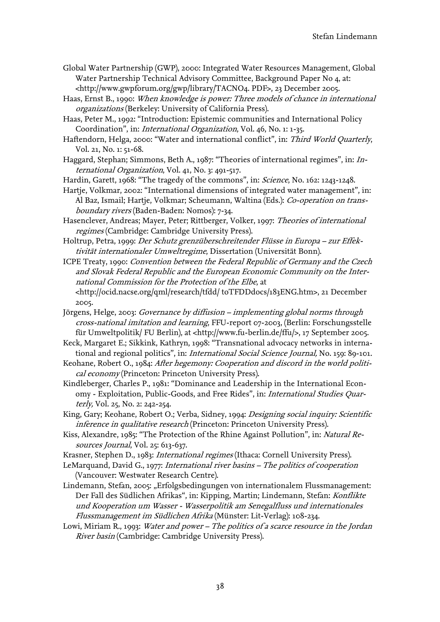- Global Water Partnership (GWP), 2000: Integrated Water Resources Management, Global Water Partnership Technical Advisory Committee, Background Paper No 4, at: <[http://www.gwpforum.org/gwp/library/TACNO4. PDF>](http://www.gwpforum.org/gwp/library/TACNO4. PDF), 23 December 2005.
- Haas, Ernst B., 1990: When knowledge is power: Three models of chance in international organizations (Berkeley: University of California Press).

Haas, Peter M., 1992: "Introduction: Epistemic communities and International Policy Coordination", in: International Organization, Vol. 46, No. 1: 1-35.

- Haftendorn, Helga, 2000: "Water and international conflict", in: Third World Quarterly, Vol. 21, No. 1: 51-68.
- Haggard, Stephan; Simmons, Beth A., 1987: "Theories of international regimes", in: International Organization, Vol. 41, No. 3: 491-517.
- Hardin, Garett, 1968: "The tragedy of the commons", in: Science, No. 162: 1243-1248.
- Hartje, Volkmar, 2002: "International dimensions of integrated water management", in: Al Baz, Ismail; Hartje, Volkmar; Scheumann, Waltina (Eds.): Co-operation on transboundary rivers (Baden-Baden: Nomos): 7-34.
- Hasenclever, Andreas; Mayer, Peter; Rittberger, Volker, 1997: Theories of international regimes (Cambridge: Cambridge University Press).
- Holtrup, Petra, 1999: Der Schutz grenzüberschreitender Flüsse in Europa zur Effektivität internationaler Umweltregime, Dissertation (Universität Bonn).
- ICPE Treaty, 1990: Convention between the Federal Republic of Germany and the Czech and Slovak Federal Republic and the European Economic Community on the International Commission for the Protection of the Elbe, at <http://ocid.nacse.org/qml/research/tfdd/ toTFDDdocs/183ENG.htm>, 21 December
	- 2005.
- Jörgens, Helge, 2003: Governance by diffusion implementing global norms through cross-national imitation and learning, FFU-report 07-2003, (Berlin: Forschungsstelle für Umweltpolitik/ FU Berlin), at <[http://www.fu-berlin.de/ffu/>](http://www.fu-berlin.de/ffu/), 17 September 2005.
- Keck, Margaret E.; Sikkink, Kathryn, 1998: "Transnational advocacy networks in international and regional politics", in: *International Social Science Journal*, No. 159: 89-101.
- Keohane, Robert O., 1984: After hegemony: Cooperation and discord in the world political economy (Princeton: Princeton University Press).
- Kindleberger, Charles P., 1981: "Dominance and Leadership in the International Economy - Exploitation, Public-Goods, and Free Rides", in: International Studies Quarterly, Vol. 25, No. 2: 242-254.
- King, Gary; Keohane, Robert O.; Verba, Sidney, 1994: Designing social inquiry: Scientific inference in qualitative research (Princeton: Princeton University Press).
- Kiss, Alexandre, 1985: "The Protection of the Rhine Against Pollution", in: Natural Resources Journal, Vol. 25: 613-637.
- Krasner, Stephen D., 1983: International regimes (Ithaca: Cornell University Press).
- LeMarquand, David G., 1977: International river basins The politics of cooperation (Vancouver: Westwater Research Centre).
- Lindemann, Stefan, 2005: "Erfolgsbedingungen von internationalem Flussmanagement: Der Fall des Südlichen Afrikas", in: Kipping, Martin; Lindemann, Stefan: Konflikte und Kooperation um Wasser - Wasserpolitik am Senegalfluss und internationales Flussmanagement im Südlichen Afrika (Münster: Lit-Verlag): 108-234.
- Lowi, Miriam R., 1993: Water and power The politics of a scarce resource in the Jordan River basin (Cambridge: Cambridge University Press).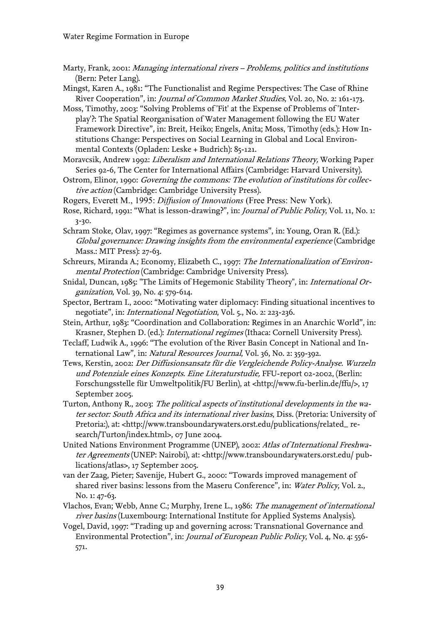- Marty, Frank, 2001: Managing international rivers Problems, politics and institutions (Bern: Peter Lang).
- Mingst, Karen A., 1981: "The Functionalist and Regime Perspectives: The Case of Rhine River Cooperation", in: Journal of Common Market Studies, Vol. 20, No. 2: 161-173.
- Moss, Timothy, 2003: "Solving Problems of 'Fit' at the Expense of Problems of 'Interplay'?: The Spatial Reorganisation of Water Management following the EU Water Framework Directive", in: Breit, Heiko; Engels, Anita; Moss, Timothy (eds.): How Institutions Change: Perspectives on Social Learning in Global and Local Environmental Contexts (Opladen: Leske + Budrich): 85-121.
- Moravcsik, Andrew 1992: Liberalism and International Relations Theory, Working Paper Series 92-6, The Center for International Affairs (Cambridge: Harvard University).
- Ostrom, Elinor, 1990: Governing the commons: The evolution of institutions for collective action (Cambridge: Cambridge University Press).
- Rogers, Everett M., 1995: *Diffusion of Innovations* (Free Press: New York).
- Rose, Richard, 1991: "What is lesson-drawing?", in: *Journal of Public Policy*, Vol. 11, No. 1: 3-30.
- Schram Stoke, Olav, 1997: "Regimes as governance systems", in: Young, Oran R. (Ed.): Global governance: Drawing insights from the environmental experience (Cambridge Mass.: MIT Press): 27-63.
- Schreurs, Miranda A.; Economy, Elizabeth C., 1997: The Internationalization of Environmental Protection (Cambridge: Cambridge University Press).
- Snidal, Duncan, 1985: "The Limits of Hegemonic Stability Theory", in: International Organization, Vol. 39, No. 4: 579-614.
- Spector, Bertram I., 2000: "Motivating water diplomacy: Finding situational incentives to negotiate", in: International Negotiation, Vol. 5., No. 2: 223-236.
- Stein, Arthur, 1983: "Coordination and Collaboration: Regimes in an Anarchic World", in: Krasner, Stephen D. (ed.): International regimes (Ithaca: Cornell University Press).
- Teclaff, Ludwik A., 1996: "The evolution of the River Basin Concept in National and International Law", in: Natural Resources Journal, Vol. 36, No. 2: 359-392.
- Tews, Kerstin, 2002: Der Diffusionsansatz für die Vergleichende Policy-Analyse. Wurzeln und Potenziale eines Konzepts. Eine Literaturstudie, FFU-report 02-2002, (Berlin: Forschungsstelle für Umweltpolitik/FU Berlin), at <[http://www.fu-berlin.de/ffu/>](http://www.fu-berlin.de/ffu/), 17 September 2005.
- Turton, Anthony R., 2003: The political aspects of institutional developments in the water sector: South Africa and its international river basins, Diss. (Pretoria: University of Pretoria:), at: <[http://www.transboundarywaters.orst.edu/publications/related\\_ re](http://www.transboundarywaters.orst.edu/publications/related_ research/Turton/index.html)[search/Turton/index.html>](http://www.transboundarywaters.orst.edu/publications/related_ research/Turton/index.html), 07 June 2004.
- United Nations Environment Programme (UNEP), 2002: Atlas of International Freshwater Agreements (UNEP: Nairobi), at: <[http://www.transboundarywaters.orst.edu/ pub](http://www.transboundarywaters.orst.edu/ publications/atlas)[lications/atlas>](http://www.transboundarywaters.orst.edu/ publications/atlas), 17 September 2005.
- van der Zaag, Pieter; Savenije, Hubert G., 2000: "Towards improved management of shared river basins: lessons from the Maseru Conference", in: Water Policy, Vol. 2., No. 1: 47-63.
- Vlachos, Evan; Webb, Anne C.; Murphy, Irene L., 1986: The management of international river basins (Luxembourg: International Institute for Applied Systems Analysis).
- Vogel, David, 1997: "Trading up and governing across: Transnational Governance and Environmental Protection", in: Journal of European Public Policy, Vol. 4, No. 4: 556- 571.